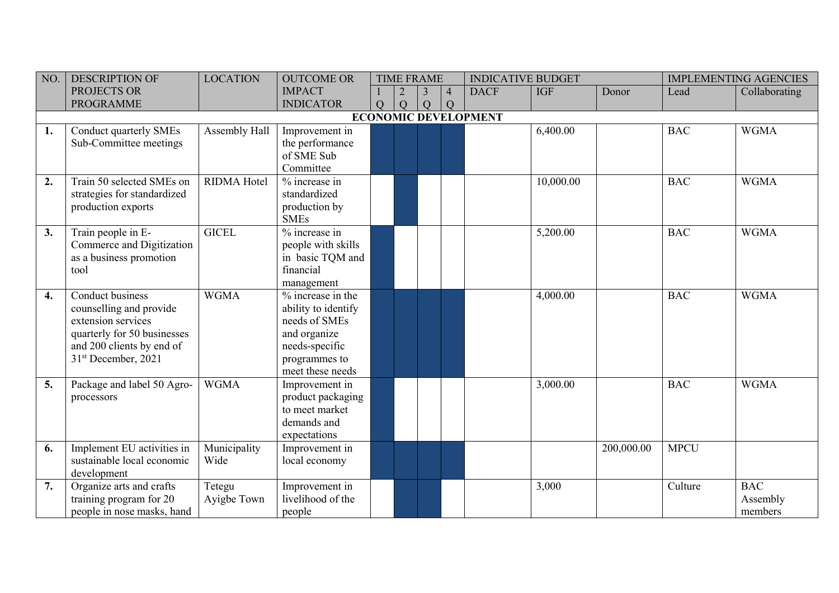| NO. | <b>DESCRIPTION OF</b>           | <b>LOCATION</b>    | <b>OUTCOME OR</b>   |                |   | <b>TIME FRAME</b>   |                | <b>INDICATIVE BUDGET</b>    |            |            |             | <b>IMPLEMENTING AGENCIES</b> |
|-----|---------------------------------|--------------------|---------------------|----------------|---|---------------------|----------------|-----------------------------|------------|------------|-------------|------------------------------|
|     | PROJECTS OR                     |                    | <b>IMPACT</b>       |                |   | $\overline{4}$<br>3 |                | <b>DACF</b>                 | <b>IGF</b> | Donor      | Lead        | Collaborating                |
|     | <b>PROGRAMME</b>                |                    | <b>INDICATOR</b>    | $\overline{Q}$ | Q | $\overline{Q}$      | $\overline{Q}$ |                             |            |            |             |                              |
|     |                                 |                    |                     |                |   |                     |                | <b>ECONOMIC DEVELOPMENT</b> |            |            |             |                              |
| 1.  | Conduct quarterly SMEs          | Assembly Hall      | Improvement in      |                |   |                     |                |                             | 6,400.00   |            | <b>BAC</b>  | <b>WGMA</b>                  |
|     | Sub-Committee meetings          |                    | the performance     |                |   |                     |                |                             |            |            |             |                              |
|     |                                 |                    | of SME Sub          |                |   |                     |                |                             |            |            |             |                              |
|     |                                 |                    | Committee           |                |   |                     |                |                             |            |            |             |                              |
| 2.  | Train 50 selected SMEs on       | <b>RIDMA Hotel</b> | $%$ increase in     |                |   |                     |                |                             | 10,000.00  |            | <b>BAC</b>  | <b>WGMA</b>                  |
|     | strategies for standardized     |                    | standardized        |                |   |                     |                |                             |            |            |             |                              |
|     | production exports              |                    | production by       |                |   |                     |                |                             |            |            |             |                              |
|     |                                 |                    | <b>SMEs</b>         |                |   |                     |                |                             |            |            |             |                              |
| 3.  | Train people in E-              | <b>GICEL</b>       | % increase in       |                |   |                     |                |                             | 5,200.00   |            | <b>BAC</b>  | <b>WGMA</b>                  |
|     | Commerce and Digitization       |                    | people with skills  |                |   |                     |                |                             |            |            |             |                              |
|     | as a business promotion         |                    | in basic TQM and    |                |   |                     |                |                             |            |            |             |                              |
|     | tool                            |                    | financial           |                |   |                     |                |                             |            |            |             |                              |
|     |                                 |                    | management          |                |   |                     |                |                             |            |            |             |                              |
| 4.  | Conduct business                | <b>WGMA</b>        | $%$ increase in the |                |   |                     |                |                             | 4,000.00   |            | <b>BAC</b>  | <b>WGMA</b>                  |
|     | counselling and provide         |                    | ability to identify |                |   |                     |                |                             |            |            |             |                              |
|     | extension services              |                    | needs of SMEs       |                |   |                     |                |                             |            |            |             |                              |
|     | quarterly for 50 businesses     |                    | and organize        |                |   |                     |                |                             |            |            |             |                              |
|     | and 200 clients by end of       |                    | needs-specific      |                |   |                     |                |                             |            |            |             |                              |
|     | 31 <sup>st</sup> December, 2021 |                    | programmes to       |                |   |                     |                |                             |            |            |             |                              |
|     |                                 |                    | meet these needs    |                |   |                     |                |                             |            |            |             |                              |
| 5.  | Package and label 50 Agro-      | <b>WGMA</b>        | Improvement in      |                |   |                     |                |                             | 3,000.00   |            | <b>BAC</b>  | <b>WGMA</b>                  |
|     | processors                      |                    | product packaging   |                |   |                     |                |                             |            |            |             |                              |
|     |                                 |                    | to meet market      |                |   |                     |                |                             |            |            |             |                              |
|     |                                 |                    | demands and         |                |   |                     |                |                             |            |            |             |                              |
|     |                                 |                    | expectations        |                |   |                     |                |                             |            |            |             |                              |
| 6.  | Implement EU activities in      | Municipality       | Improvement in      |                |   |                     |                |                             |            | 200,000.00 | <b>MPCU</b> |                              |
|     | sustainable local economic      | Wide               | local economy       |                |   |                     |                |                             |            |            |             |                              |
|     | development                     |                    |                     |                |   |                     |                |                             |            |            |             |                              |
| 7.  | Organize arts and crafts        | Tetegu             | Improvement in      |                |   |                     |                |                             | 3,000      |            | Culture     | <b>BAC</b>                   |
|     | training program for 20         | Ayigbe Town        | livelihood of the   |                |   |                     |                |                             |            |            |             | Assembly                     |
|     | people in nose masks, hand      |                    | people              |                |   |                     |                |                             |            |            |             | members                      |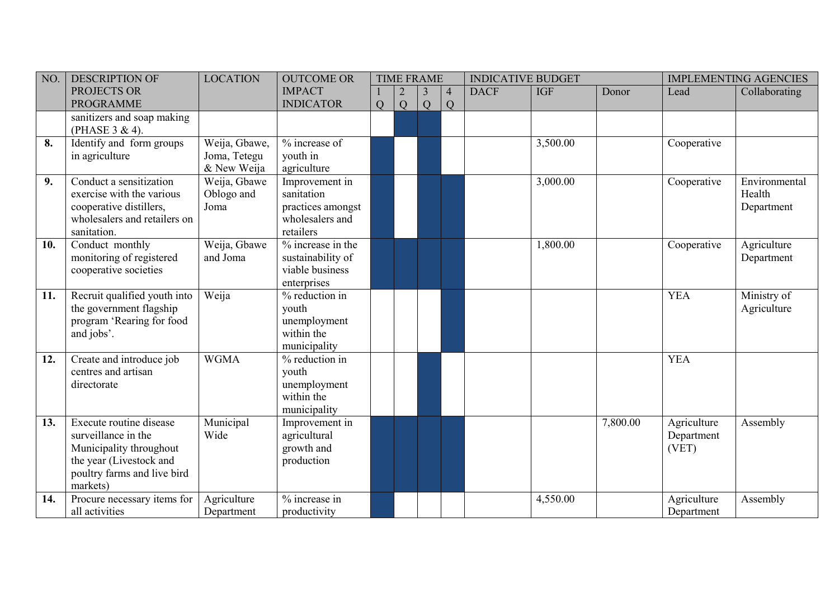| NO. | <b>DESCRIPTION OF</b>        | <b>LOCATION</b> | <b>OUTCOME OR</b> |   |   | <b>TIME FRAME</b> |                | <b>INDICATIVE BUDGET</b> |            |          |             | <b>IMPLEMENTING AGENCIES</b> |
|-----|------------------------------|-----------------|-------------------|---|---|-------------------|----------------|--------------------------|------------|----------|-------------|------------------------------|
|     | PROJECTS OR                  |                 | <b>IMPACT</b>     |   |   | $\overline{3}$    | $\overline{4}$ | <b>DACF</b>              | <b>IGF</b> | Donor    | Lead        | Collaborating                |
|     | <b>PROGRAMME</b>             |                 | <b>INDICATOR</b>  | Q | Q | Q                 | Q              |                          |            |          |             |                              |
|     | sanitizers and soap making   |                 |                   |   |   |                   |                |                          |            |          |             |                              |
|     | (PHASE 3 & 4).               |                 |                   |   |   |                   |                |                          |            |          |             |                              |
| 8.  | Identify and form groups     | Weija, Gbawe,   | % increase of     |   |   |                   |                |                          | 3,500.00   |          | Cooperative |                              |
|     | in agriculture               | Joma, Tetegu    | youth in          |   |   |                   |                |                          |            |          |             |                              |
|     |                              | & New Weija     | agriculture       |   |   |                   |                |                          |            |          |             |                              |
| 9.  | Conduct a sensitization      | Weija, Gbawe    | Improvement in    |   |   |                   |                |                          | 3,000.00   |          | Cooperative | Environmental                |
|     | exercise with the various    | Oblogo and      | sanitation        |   |   |                   |                |                          |            |          |             | Health                       |
|     | cooperative distillers,      | Joma            | practices amongst |   |   |                   |                |                          |            |          |             | Department                   |
|     | wholesalers and retailers on |                 | wholesalers and   |   |   |                   |                |                          |            |          |             |                              |
|     | sanitation.                  |                 | retailers         |   |   |                   |                |                          |            |          |             |                              |
| 10. | Conduct monthly              | Weija, Gbawe    | % increase in the |   |   |                   |                |                          | 1,800.00   |          | Cooperative | Agriculture                  |
|     | monitoring of registered     | and Joma        | sustainability of |   |   |                   |                |                          |            |          |             | Department                   |
|     | cooperative societies        |                 | viable business   |   |   |                   |                |                          |            |          |             |                              |
|     |                              |                 | enterprises       |   |   |                   |                |                          |            |          |             |                              |
| 11. | Recruit qualified youth into | Weija           | $%$ reduction in  |   |   |                   |                |                          |            |          | <b>YEA</b>  | Ministry of                  |
|     | the government flagship      |                 | youth             |   |   |                   |                |                          |            |          |             | Agriculture                  |
|     | program 'Rearing for food    |                 | unemployment      |   |   |                   |                |                          |            |          |             |                              |
|     | and jobs'.                   |                 | within the        |   |   |                   |                |                          |            |          |             |                              |
|     |                              |                 | municipality      |   |   |                   |                |                          |            |          |             |                              |
| 12. | Create and introduce job     | <b>WGMA</b>     | % reduction in    |   |   |                   |                |                          |            |          | <b>YEA</b>  |                              |
|     | centres and artisan          |                 | youth             |   |   |                   |                |                          |            |          |             |                              |
|     | directorate                  |                 | unemployment      |   |   |                   |                |                          |            |          |             |                              |
|     |                              |                 | within the        |   |   |                   |                |                          |            |          |             |                              |
|     |                              |                 | municipality      |   |   |                   |                |                          |            |          |             |                              |
| 13. | Execute routine disease      | Municipal       | Improvement in    |   |   |                   |                |                          |            | 7,800.00 | Agriculture | Assembly                     |
|     | surveillance in the          | Wide            | agricultural      |   |   |                   |                |                          |            |          | Department  |                              |
|     | Municipality throughout      |                 | growth and        |   |   |                   |                |                          |            |          | (VET)       |                              |
|     | the year (Livestock and      |                 | production        |   |   |                   |                |                          |            |          |             |                              |
|     | poultry farms and live bird  |                 |                   |   |   |                   |                |                          |            |          |             |                              |
|     | markets)                     |                 |                   |   |   |                   |                |                          |            |          |             |                              |
| 14. | Procure necessary items for  | Agriculture     | % increase in     |   |   |                   |                |                          | 4,550.00   |          | Agriculture | Assembly                     |
|     | all activities               | Department      | productivity      |   |   |                   |                |                          |            |          | Department  |                              |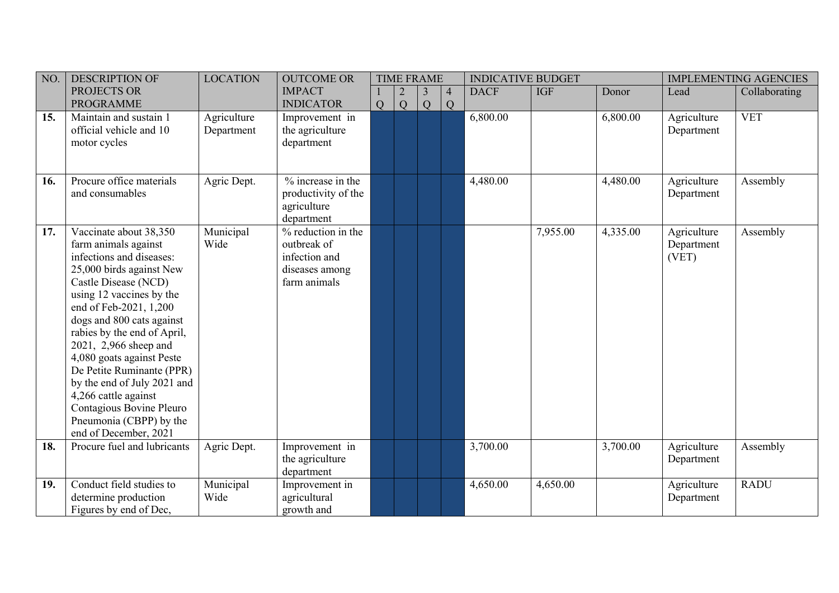| NO. | <b>DESCRIPTION OF</b>                                                                                                                                                                                                                                                                                                                                                                                                                                                      | <b>LOCATION</b>           | <b>OUTCOME OR</b>                                                                    |   | <b>TIME FRAME</b> |        |                     | <b>INDICATIVE BUDGET</b> |            |          |                                    | <b>IMPLEMENTING AGENCIES</b> |
|-----|----------------------------------------------------------------------------------------------------------------------------------------------------------------------------------------------------------------------------------------------------------------------------------------------------------------------------------------------------------------------------------------------------------------------------------------------------------------------------|---------------------------|--------------------------------------------------------------------------------------|---|-------------------|--------|---------------------|--------------------------|------------|----------|------------------------------------|------------------------------|
|     | PROJECTS OR<br><b>PROGRAMME</b>                                                                                                                                                                                                                                                                                                                                                                                                                                            |                           | <b>IMPACT</b><br><b>INDICATOR</b>                                                    | Q | Q                 | 3<br>Q | $\overline{4}$<br>Q | <b>DACF</b>              | <b>IGF</b> | Donor    | Lead                               | Collaborating                |
| 15. | Maintain and sustain 1<br>official vehicle and 10<br>motor cycles                                                                                                                                                                                                                                                                                                                                                                                                          | Agriculture<br>Department | Improvement in<br>the agriculture<br>department                                      |   |                   |        |                     | 6,800.00                 |            | 6,800.00 | Agriculture<br>Department          | <b>VET</b>                   |
| 16. | Procure office materials<br>and consumables                                                                                                                                                                                                                                                                                                                                                                                                                                | Agric Dept.               | $%$ increase in the<br>productivity of the<br>agriculture<br>department              |   |                   |        |                     | 4,480.00                 |            | 4,480.00 | Agriculture<br>Department          | Assembly                     |
| 17. | Vaccinate about 38,350<br>farm animals against<br>infections and diseases:<br>25,000 birds against New<br>Castle Disease (NCD)<br>using 12 vaccines by the<br>end of Feb-2021, 1,200<br>dogs and 800 cats against<br>rabies by the end of April,<br>2021, 2,966 sheep and<br>4,080 goats against Peste<br>De Petite Ruminante (PPR)<br>by the end of July 2021 and<br>4,266 cattle against<br>Contagious Bovine Pleuro<br>Pneumonia (CBPP) by the<br>end of December, 2021 | Municipal<br>Wide         | % reduction in the<br>outbreak of<br>infection and<br>diseases among<br>farm animals |   |                   |        |                     |                          | 7,955.00   | 4,335.00 | Agriculture<br>Department<br>(VET) | Assembly                     |
| 18. | Procure fuel and lubricants                                                                                                                                                                                                                                                                                                                                                                                                                                                | Agric Dept.               | Improvement in<br>the agriculture<br>department                                      |   |                   |        |                     | 3,700.00                 |            | 3,700.00 | Agriculture<br>Department          | Assembly                     |
| 19. | Conduct field studies to<br>determine production<br>Figures by end of Dec,                                                                                                                                                                                                                                                                                                                                                                                                 | Municipal<br>Wide         | Improvement in<br>agricultural<br>growth and                                         |   |                   |        |                     | 4,650.00                 | 4,650.00   |          | Agriculture<br>Department          | <b>RADU</b>                  |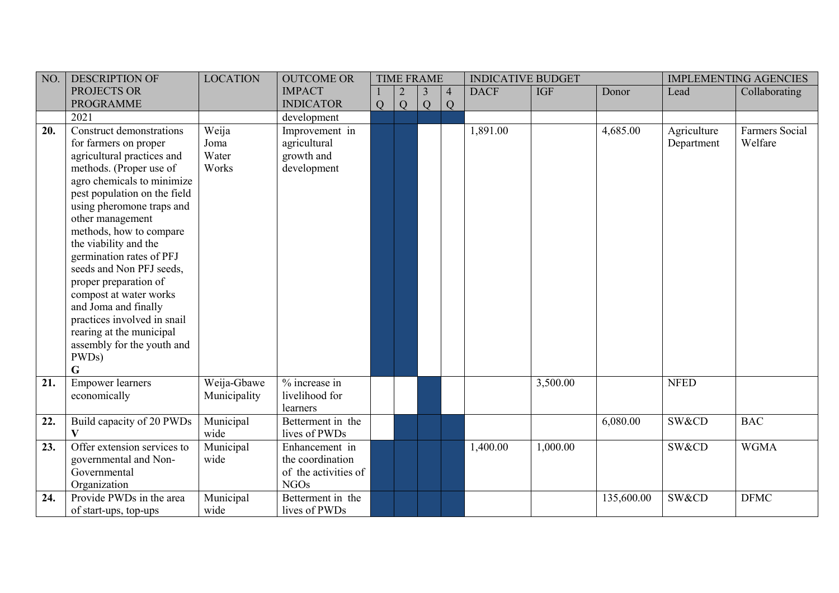| $\vert$ NO. | <b>DESCRIPTION OF</b>                                                                                                                                                                                                                                                                                                                                                                                                                                                       | <b>LOCATION</b>                 | <b>OUTCOME OR</b>                                                         |   | <b>TIME FRAME</b> |                |                | <b>INDICATIVE BUDGET</b> |            |            |                           | <b>IMPLEMENTING AGENCIES</b> |
|-------------|-----------------------------------------------------------------------------------------------------------------------------------------------------------------------------------------------------------------------------------------------------------------------------------------------------------------------------------------------------------------------------------------------------------------------------------------------------------------------------|---------------------------------|---------------------------------------------------------------------------|---|-------------------|----------------|----------------|--------------------------|------------|------------|---------------------------|------------------------------|
|             | PROJECTS OR                                                                                                                                                                                                                                                                                                                                                                                                                                                                 |                                 | <b>IMPACT</b>                                                             |   |                   | $\overline{3}$ | $\overline{4}$ | <b>DACF</b>              | <b>IGF</b> | Donor      | Lead                      | Collaborating                |
|             | <b>PROGRAMME</b>                                                                                                                                                                                                                                                                                                                                                                                                                                                            |                                 | <b>INDICATOR</b>                                                          | Q | Q                 | Q              | Q              |                          |            |            |                           |                              |
|             | 2021                                                                                                                                                                                                                                                                                                                                                                                                                                                                        |                                 | development                                                               |   |                   |                |                |                          |            |            |                           |                              |
| 20.         | Construct demonstrations<br>for farmers on proper<br>agricultural practices and<br>methods. (Proper use of<br>agro chemicals to minimize<br>pest population on the field<br>using pheromone traps and<br>other management<br>methods, how to compare<br>the viability and the<br>germination rates of PFJ<br>seeds and Non PFJ seeds,<br>proper preparation of<br>compost at water works<br>and Joma and finally<br>practices involved in snail<br>rearing at the municipal | Weija<br>Joma<br>Water<br>Works | Improvement in<br>agricultural<br>growth and<br>development               |   |                   |                |                | 1,891.00                 |            | 4,685.00   | Agriculture<br>Department | Farmers Social<br>Welfare    |
| 21.         | assembly for the youth and<br>PWDs)<br>G<br><b>Empower</b> learners<br>economically                                                                                                                                                                                                                                                                                                                                                                                         | Weija-Gbawe<br>Municipality     | % increase in<br>livelihood for                                           |   |                   |                |                |                          | 3,500.00   |            | <b>NFED</b>               |                              |
| 22.         | Build capacity of 20 PWDs<br>$\overline{\mathbf{V}}$                                                                                                                                                                                                                                                                                                                                                                                                                        | Municipal<br>wide               | learners<br>Betterment in the<br>lives of PWDs                            |   |                   |                |                |                          |            | 6,080.00   | SW&CD                     | <b>BAC</b>                   |
| 23.         | Offer extension services to<br>governmental and Non-<br>Governmental<br>Organization                                                                                                                                                                                                                                                                                                                                                                                        | Municipal<br>wide               | Enhancement in<br>the coordination<br>of the activities of<br><b>NGOs</b> |   |                   |                |                | 1,400.00                 | 1,000.00   |            | SW&CD                     | <b>WGMA</b>                  |
| 24.         | Provide PWDs in the area<br>of start-ups, top-ups                                                                                                                                                                                                                                                                                                                                                                                                                           | Municipal<br>wide               | Betterment in the<br>lives of PWDs                                        |   |                   |                |                |                          |            | 135,600.00 | SW&CD                     | <b>DFMC</b>                  |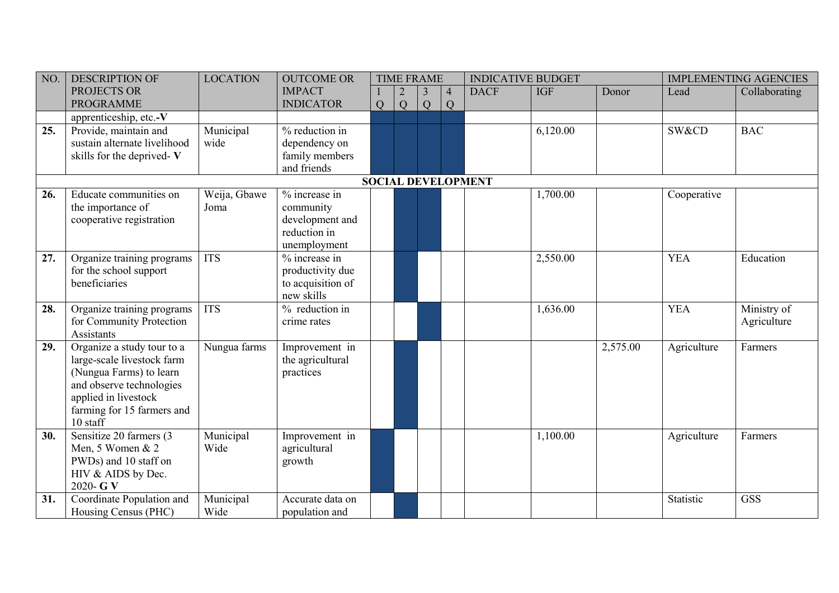| NO. | <b>DESCRIPTION OF</b>                                 | <b>LOCATION</b> | <b>OUTCOME OR</b>             |                | <b>TIME FRAME</b> |   |                | <b>INDICATIVE BUDGET</b>  |            |          |             | <b>IMPLEMENTING AGENCIES</b> |
|-----|-------------------------------------------------------|-----------------|-------------------------------|----------------|-------------------|---|----------------|---------------------------|------------|----------|-------------|------------------------------|
|     | PROJECTS OR                                           |                 | <b>IMPACT</b>                 |                |                   | 3 | $\overline{4}$ | <b>DACF</b>               | <b>IGF</b> | Donor    | Lead        | Collaborating                |
|     | <b>PROGRAMME</b>                                      |                 | <b>INDICATOR</b>              | $\overline{Q}$ | Q                 | Q | Q              |                           |            |          |             |                              |
|     | apprenticeship, etc.-V                                |                 |                               |                |                   |   |                |                           |            |          |             |                              |
| 25. | Provide, maintain and                                 | Municipal       | % reduction in                |                |                   |   |                |                           | 6,120.00   |          | SW&CD       | <b>BAC</b>                   |
|     | sustain alternate livelihood                          | wide            | dependency on                 |                |                   |   |                |                           |            |          |             |                              |
|     | skills for the deprived-V                             |                 | family members                |                |                   |   |                |                           |            |          |             |                              |
|     |                                                       |                 | and friends                   |                |                   |   |                | <b>SOCIAL DEVELOPMENT</b> |            |          |             |                              |
| 26. | Educate communities on                                | Weija, Gbawe    | % increase in                 |                |                   |   |                |                           | 1,700.00   |          | Cooperative |                              |
|     | the importance of                                     | Joma            | community                     |                |                   |   |                |                           |            |          |             |                              |
|     | cooperative registration                              |                 | development and               |                |                   |   |                |                           |            |          |             |                              |
|     |                                                       |                 | reduction in                  |                |                   |   |                |                           |            |          |             |                              |
|     |                                                       |                 | unemployment                  |                |                   |   |                |                           |            |          |             |                              |
| 27. | Organize training programs                            | <b>ITS</b>      | % increase in                 |                |                   |   |                |                           | 2,550.00   |          | <b>YEA</b>  | Education                    |
|     | for the school support                                |                 | productivity due              |                |                   |   |                |                           |            |          |             |                              |
|     | beneficiaries                                         |                 | to acquisition of             |                |                   |   |                |                           |            |          |             |                              |
|     |                                                       |                 | new skills                    |                |                   |   |                |                           |            |          |             |                              |
| 28. | Organize training programs                            | <b>ITS</b>      | % reduction in                |                |                   |   |                |                           | 1,636.00   |          | <b>YEA</b>  | Ministry of                  |
|     | for Community Protection                              |                 | crime rates                   |                |                   |   |                |                           |            |          |             | Agriculture                  |
|     | Assistants                                            |                 |                               |                |                   |   |                |                           |            |          |             |                              |
| 29. | Organize a study tour to a                            | Nungua farms    | Improvement in                |                |                   |   |                |                           |            | 2,575.00 | Agriculture | Farmers                      |
|     | large-scale livestock farm<br>(Nungua Farms) to learn |                 | the agricultural<br>practices |                |                   |   |                |                           |            |          |             |                              |
|     | and observe technologies                              |                 |                               |                |                   |   |                |                           |            |          |             |                              |
|     | applied in livestock                                  |                 |                               |                |                   |   |                |                           |            |          |             |                              |
|     | farming for 15 farmers and                            |                 |                               |                |                   |   |                |                           |            |          |             |                              |
|     | 10 staff                                              |                 |                               |                |                   |   |                |                           |            |          |             |                              |
| 30. | Sensitize 20 farmers (3                               | Municipal       | Improvement in                |                |                   |   |                |                           | 1,100.00   |          | Agriculture | Farmers                      |
|     | Men, 5 Women & 2                                      | Wide            | agricultural                  |                |                   |   |                |                           |            |          |             |                              |
|     | PWDs) and 10 staff on                                 |                 | growth                        |                |                   |   |                |                           |            |          |             |                              |
|     | HIV & AIDS by Dec.                                    |                 |                               |                |                   |   |                |                           |            |          |             |                              |
|     | 2020- G V                                             |                 |                               |                |                   |   |                |                           |            |          |             |                              |
| 31. | Coordinate Population and                             | Municipal       | Accurate data on              |                |                   |   |                |                           |            |          | Statistic   | <b>GSS</b>                   |
|     | Housing Census (PHC)                                  | Wide            | population and                |                |                   |   |                |                           |            |          |             |                              |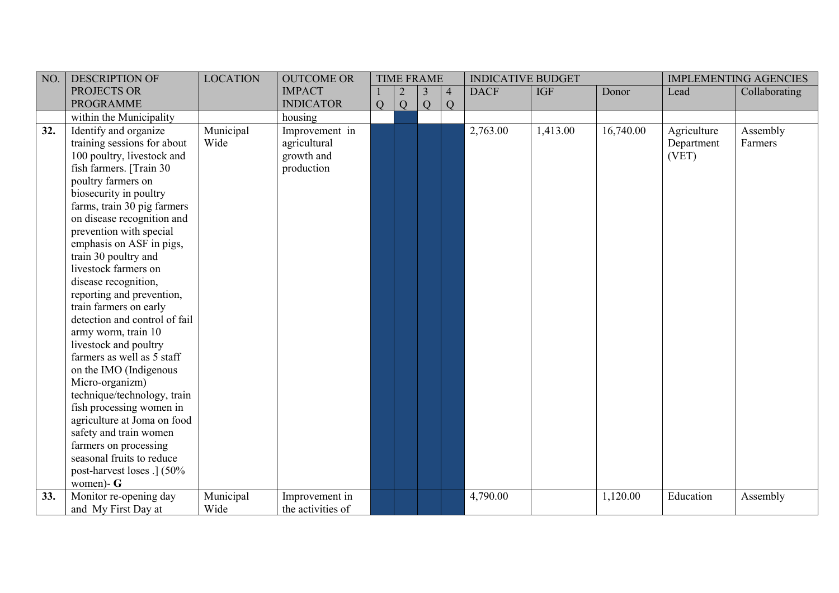| $\vert$ NO. | <b>DESCRIPTION OF</b>                              | <b>LOCATION</b> | <b>OUTCOME OR</b> |   | <b>TIME FRAME</b> |   |                | <b>INDICATIVE BUDGET</b> |            |           |             | <b>IMPLEMENTING AGENCIES</b> |
|-------------|----------------------------------------------------|-----------------|-------------------|---|-------------------|---|----------------|--------------------------|------------|-----------|-------------|------------------------------|
|             | PROJECTS OR                                        |                 | <b>IMPACT</b>     |   |                   | 3 | $\overline{4}$ | <b>DACF</b>              | <b>IGF</b> | Donor     | Lead        | Collaborating                |
|             | <b>PROGRAMME</b>                                   |                 | <b>INDICATOR</b>  | Q | Q                 | Q | Q              |                          |            |           |             |                              |
|             | within the Municipality                            |                 | housing           |   |                   |   |                |                          |            |           |             |                              |
| 32.         | Identify and organize                              | Municipal       | Improvement in    |   |                   |   |                | 2,763.00                 | 1,413.00   | 16,740.00 | Agriculture | Assembly                     |
|             | training sessions for about                        | Wide            | agricultural      |   |                   |   |                |                          |            |           | Department  | Farmers                      |
|             | 100 poultry, livestock and                         |                 | growth and        |   |                   |   |                |                          |            |           | (VET)       |                              |
|             | fish farmers. [Train 30                            |                 | production        |   |                   |   |                |                          |            |           |             |                              |
|             | poultry farmers on                                 |                 |                   |   |                   |   |                |                          |            |           |             |                              |
|             | biosecurity in poultry                             |                 |                   |   |                   |   |                |                          |            |           |             |                              |
|             | farms, train 30 pig farmers                        |                 |                   |   |                   |   |                |                          |            |           |             |                              |
|             | on disease recognition and                         |                 |                   |   |                   |   |                |                          |            |           |             |                              |
|             | prevention with special                            |                 |                   |   |                   |   |                |                          |            |           |             |                              |
|             | emphasis on ASF in pigs,                           |                 |                   |   |                   |   |                |                          |            |           |             |                              |
|             | train 30 poultry and                               |                 |                   |   |                   |   |                |                          |            |           |             |                              |
|             | livestock farmers on                               |                 |                   |   |                   |   |                |                          |            |           |             |                              |
|             | disease recognition,                               |                 |                   |   |                   |   |                |                          |            |           |             |                              |
|             | reporting and prevention,                          |                 |                   |   |                   |   |                |                          |            |           |             |                              |
|             | train farmers on early                             |                 |                   |   |                   |   |                |                          |            |           |             |                              |
|             | detection and control of fail                      |                 |                   |   |                   |   |                |                          |            |           |             |                              |
|             | army worm, train 10                                |                 |                   |   |                   |   |                |                          |            |           |             |                              |
|             | livestock and poultry                              |                 |                   |   |                   |   |                |                          |            |           |             |                              |
|             | farmers as well as 5 staff                         |                 |                   |   |                   |   |                |                          |            |           |             |                              |
|             | on the IMO (Indigenous                             |                 |                   |   |                   |   |                |                          |            |           |             |                              |
|             | Micro-organizm)<br>technique/technology, train     |                 |                   |   |                   |   |                |                          |            |           |             |                              |
|             |                                                    |                 |                   |   |                   |   |                |                          |            |           |             |                              |
|             | fish processing women in                           |                 |                   |   |                   |   |                |                          |            |           |             |                              |
|             | agriculture at Joma on food                        |                 |                   |   |                   |   |                |                          |            |           |             |                              |
|             | safety and train women                             |                 |                   |   |                   |   |                |                          |            |           |             |                              |
|             | farmers on processing<br>seasonal fruits to reduce |                 |                   |   |                   |   |                |                          |            |           |             |                              |
|             |                                                    |                 |                   |   |                   |   |                |                          |            |           |             |                              |
|             | post-harvest loses .] (50%<br>women)- $G$          |                 |                   |   |                   |   |                |                          |            |           |             |                              |
| 33.         | Monitor re-opening day                             | Municipal       | Improvement in    |   |                   |   |                | 4,790.00                 |            | 1,120.00  | Education   | Assembly                     |
|             | and My First Day at                                | Wide            | the activities of |   |                   |   |                |                          |            |           |             |                              |
|             |                                                    |                 |                   |   |                   |   |                |                          |            |           |             |                              |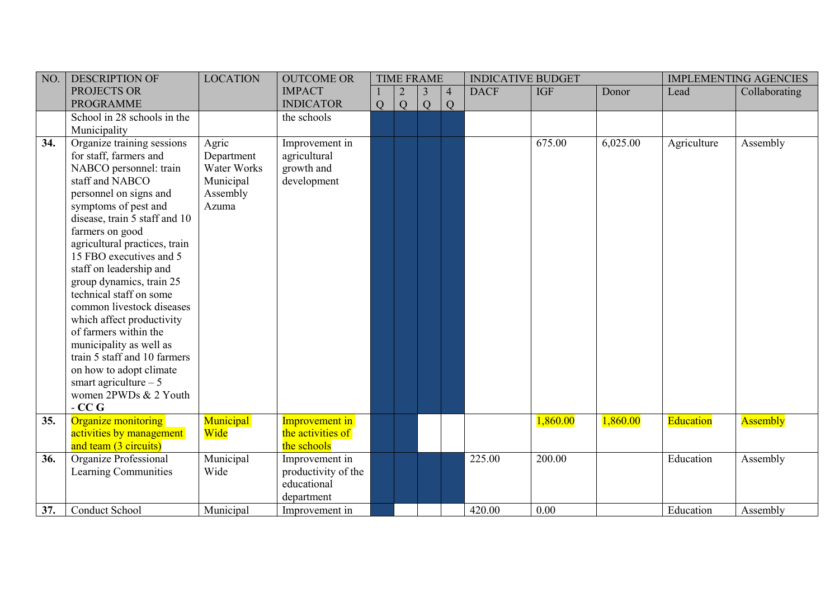| NO. | <b>DESCRIPTION OF</b>           | <b>LOCATION</b> | <b>OUTCOME OR</b>   |   |   | <b>TIME FRAME</b> |                | <b>INDICATIVE BUDGET</b> |            |          |             | <b>IMPLEMENTING AGENCIES</b> |
|-----|---------------------------------|-----------------|---------------------|---|---|-------------------|----------------|--------------------------|------------|----------|-------------|------------------------------|
|     | PROJECTS OR                     |                 | <b>IMPACT</b>       |   |   | 3                 | $\overline{4}$ | <b>DACF</b>              | <b>IGF</b> | Donor    | Lead        | Collaborating                |
|     | <b>PROGRAMME</b>                |                 | <b>INDICATOR</b>    | Q | Q | Q                 | Q              |                          |            |          |             |                              |
|     | School in 28 schools in the     |                 | the schools         |   |   |                   |                |                          |            |          |             |                              |
|     | Municipality                    |                 |                     |   |   |                   |                |                          |            |          |             |                              |
| 34. | Organize training sessions      | Agric           | Improvement in      |   |   |                   |                |                          | 675.00     | 6,025.00 | Agriculture | Assembly                     |
|     | for staff, farmers and          | Department      | agricultural        |   |   |                   |                |                          |            |          |             |                              |
|     | NABCO personnel: train          | Water Works     | growth and          |   |   |                   |                |                          |            |          |             |                              |
|     | staff and NABCO                 | Municipal       | development         |   |   |                   |                |                          |            |          |             |                              |
|     | personnel on signs and          | Assembly        |                     |   |   |                   |                |                          |            |          |             |                              |
|     | symptoms of pest and            | Azuma           |                     |   |   |                   |                |                          |            |          |             |                              |
|     | disease, train 5 staff and 10   |                 |                     |   |   |                   |                |                          |            |          |             |                              |
|     | farmers on good                 |                 |                     |   |   |                   |                |                          |            |          |             |                              |
|     | agricultural practices, train   |                 |                     |   |   |                   |                |                          |            |          |             |                              |
|     | 15 FBO executives and 5         |                 |                     |   |   |                   |                |                          |            |          |             |                              |
|     | staff on leadership and         |                 |                     |   |   |                   |                |                          |            |          |             |                              |
|     | group dynamics, train 25        |                 |                     |   |   |                   |                |                          |            |          |             |                              |
|     | technical staff on some         |                 |                     |   |   |                   |                |                          |            |          |             |                              |
|     | common livestock diseases       |                 |                     |   |   |                   |                |                          |            |          |             |                              |
|     | which affect productivity       |                 |                     |   |   |                   |                |                          |            |          |             |                              |
|     | of farmers within the           |                 |                     |   |   |                   |                |                          |            |          |             |                              |
|     | municipality as well as         |                 |                     |   |   |                   |                |                          |            |          |             |                              |
|     | train 5 staff and 10 farmers    |                 |                     |   |   |                   |                |                          |            |          |             |                              |
|     | on how to adopt climate         |                 |                     |   |   |                   |                |                          |            |          |             |                              |
|     | smart agriculture $-5$          |                 |                     |   |   |                   |                |                          |            |          |             |                              |
|     | women 2PWDs & 2 Youth<br>$-CCG$ |                 |                     |   |   |                   |                |                          |            |          |             |                              |
| 35. | Organize monitoring             | Municipal       | Improvement in      |   |   |                   |                |                          | 1,860.00   | 1,860.00 | Education   | Assembly                     |
|     | activities by management        | Wide            | the activities of   |   |   |                   |                |                          |            |          |             |                              |
|     | and team (3 circuits)           |                 | the schools         |   |   |                   |                |                          |            |          |             |                              |
| 36. | Organize Professional           | Municipal       | Improvement in      |   |   |                   |                | 225.00                   | 200.00     |          | Education   | Assembly                     |
|     | Learning Communities            | Wide            | productivity of the |   |   |                   |                |                          |            |          |             |                              |
|     |                                 |                 | educational         |   |   |                   |                |                          |            |          |             |                              |
|     |                                 |                 | department          |   |   |                   |                |                          |            |          |             |                              |
| 37. | Conduct School                  | Municipal       | Improvement in      |   |   |                   |                | 420.00                   | 0.00       |          | Education   | Assembly                     |
|     |                                 |                 |                     |   |   |                   |                |                          |            |          |             |                              |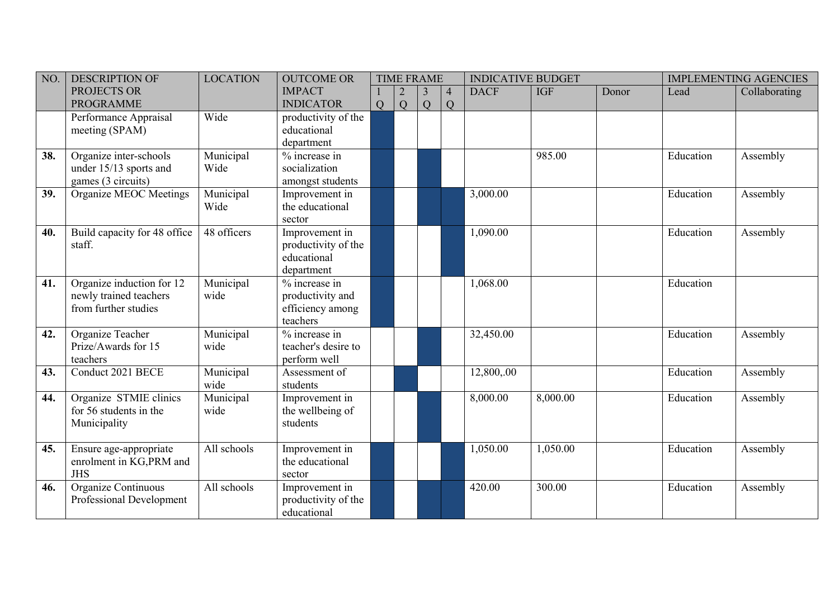| NO. | <b>DESCRIPTION OF</b>                                                       | <b>LOCATION</b>   | <b>OUTCOME OR</b>                                                   |   |   | <b>TIME FRAME</b>   |                                  | <b>INDICATIVE BUDGET</b> |            |       |           | <b>IMPLEMENTING AGENCIES</b> |
|-----|-----------------------------------------------------------------------------|-------------------|---------------------------------------------------------------------|---|---|---------------------|----------------------------------|--------------------------|------------|-------|-----------|------------------------------|
|     | PROJECTS OR<br><b>PROGRAMME</b>                                             |                   | <b>IMPACT</b><br><b>INDICATOR</b>                                   | Q | Q | 3<br>$\overline{Q}$ | $\overline{4}$<br>$\overline{Q}$ | <b>DACF</b>              | <b>IGF</b> | Donor | Lead      | Collaborating                |
|     | Performance Appraisal<br>meeting (SPAM)                                     | Wide              | productivity of the<br>educational<br>department                    |   |   |                     |                                  |                          |            |       |           |                              |
| 38. | Organize inter-schools<br>under 15/13 sports and<br>games (3 circuits)      | Municipal<br>Wide | % increase in<br>socialization<br>amongst students                  |   |   |                     |                                  |                          | 985.00     |       | Education | Assembly                     |
| 39. | Organize MEOC Meetings                                                      | Municipal<br>Wide | Improvement in<br>the educational<br>sector                         |   |   |                     |                                  | 3,000.00                 |            |       | Education | Assembly                     |
| 40. | Build capacity for 48 office<br>staff.                                      | 48 officers       | Improvement in<br>productivity of the<br>educational<br>department  |   |   |                     |                                  | 1,090.00                 |            |       | Education | Assembly                     |
| 41. | Organize induction for 12<br>newly trained teachers<br>from further studies | Municipal<br>wide | $%$ increase in<br>productivity and<br>efficiency among<br>teachers |   |   |                     |                                  | 1,068.00                 |            |       | Education |                              |
| 42. | Organize Teacher<br>Prize/Awards for 15<br>teachers                         | Municipal<br>wide | % increase in<br>teacher's desire to<br>perform well                |   |   |                     |                                  | 32,450.00                |            |       | Education | Assembly                     |
| 43. | Conduct 2021 BECE                                                           | Municipal<br>wide | Assessment of<br>students                                           |   |   |                     |                                  | 12,800,.00               |            |       | Education | Assembly                     |
| 44. | Organize STMIE clinics<br>for 56 students in the<br>Municipality            | Municipal<br>wide | Improvement in<br>the wellbeing of<br>students                      |   |   |                     |                                  | 8,000.00                 | 8,000.00   |       | Education | Assembly                     |
| 45. | Ensure age-appropriate<br>enrolment in KG, PRM and<br><b>JHS</b>            | All schools       | Improvement in<br>the educational<br>sector                         |   |   |                     |                                  | 1,050.00                 | 1,050.00   |       | Education | Assembly                     |
| 46. | Organize Continuous<br>Professional Development                             | All schools       | Improvement in<br>productivity of the<br>educational                |   |   |                     |                                  | 420.00                   | 300.00     |       | Education | Assembly                     |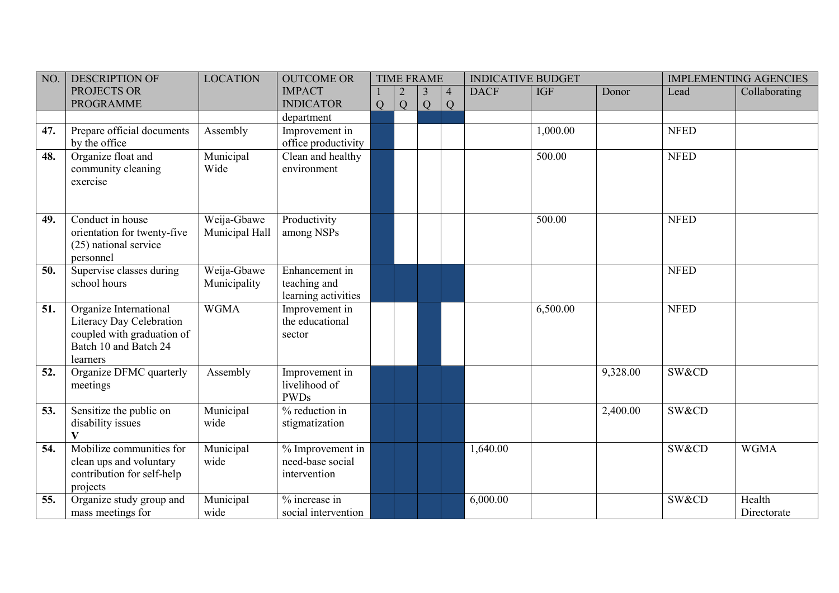| NO. | <b>DESCRIPTION OF</b>                                                                                                 | <b>LOCATION</b>               | <b>OUTCOME OR</b>                                     |   |   | <b>TIME FRAME</b> |                     | <b>INDICATIVE BUDGET</b> |            |          |             | <b>IMPLEMENTING AGENCIES</b> |
|-----|-----------------------------------------------------------------------------------------------------------------------|-------------------------------|-------------------------------------------------------|---|---|-------------------|---------------------|--------------------------|------------|----------|-------------|------------------------------|
|     | PROJECTS OR<br><b>PROGRAMME</b>                                                                                       |                               | <b>IMPACT</b><br><b>INDICATOR</b>                     | Q | Q | 3<br>Q            | $\overline{4}$<br>Q | <b>DACF</b>              | <b>IGF</b> | Donor    | Lead        | Collaborating                |
|     |                                                                                                                       |                               | department                                            |   |   |                   |                     |                          |            |          |             |                              |
| 47. | Prepare official documents<br>by the office                                                                           | Assembly                      | Improvement in<br>office productivity                 |   |   |                   |                     |                          | 1,000.00   |          | <b>NFED</b> |                              |
| 48. | Organize float and<br>community cleaning<br>exercise                                                                  | Municipal<br>Wide             | Clean and healthy<br>environment                      |   |   |                   |                     |                          | 500.00     |          | <b>NFED</b> |                              |
| 49. | Conduct in house<br>orientation for twenty-five<br>(25) national service<br>personnel                                 | Weija-Gbawe<br>Municipal Hall | Productivity<br>among NSPs                            |   |   |                   |                     |                          | 500.00     |          | <b>NFED</b> |                              |
| 50. | Supervise classes during<br>school hours                                                                              | Weija-Gbawe<br>Municipality   | Enhancement in<br>teaching and<br>learning activities |   |   |                   |                     |                          |            |          | <b>NFED</b> |                              |
| 51. | Organize International<br>Literacy Day Celebration<br>coupled with graduation of<br>Batch 10 and Batch 24<br>learners | <b>WGMA</b>                   | Improvement in<br>the educational<br>sector           |   |   |                   |                     |                          | 6,500.00   |          | <b>NFED</b> |                              |
| 52. | Organize DFMC quarterly<br>meetings                                                                                   | Assembly                      | Improvement in<br>livelihood of<br><b>PWDs</b>        |   |   |                   |                     |                          |            | 9,328.00 | SW&CD       |                              |
| 53. | Sensitize the public on<br>disability issues<br>V                                                                     | Municipal<br>wide             | % reduction in<br>stigmatization                      |   |   |                   |                     |                          |            | 2,400.00 | SW&CD       |                              |
| 54. | Mobilize communities for<br>clean ups and voluntary<br>contribution for self-help<br>projects                         | Municipal<br>wide             | % Improvement in<br>need-base social<br>intervention  |   |   |                   |                     | 1,640.00                 |            |          | SW&CD       | <b>WGMA</b>                  |
| 55. | Organize study group and<br>mass meetings for                                                                         | Municipal<br>wide             | % increase in<br>social intervention                  |   |   |                   |                     | 6,000.00                 |            |          | SW&CD       | Health<br>Directorate        |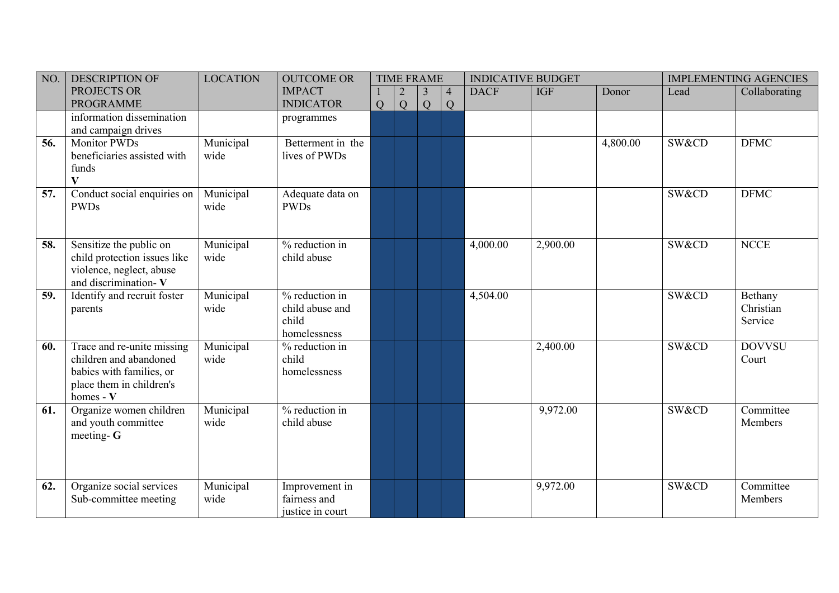| NO. | <b>DESCRIPTION OF</b>                                                                                                     | <b>LOCATION</b>   | <b>OUTCOME OR</b>                                          |   |   | <b>TIME FRAME</b> |                     | <b>INDICATIVE BUDGET</b> |            |          |       | <b>IMPLEMENTING AGENCIES</b>    |
|-----|---------------------------------------------------------------------------------------------------------------------------|-------------------|------------------------------------------------------------|---|---|-------------------|---------------------|--------------------------|------------|----------|-------|---------------------------------|
|     | PROJECTS OR<br><b>PROGRAMME</b>                                                                                           |                   | <b>IMPACT</b><br><b>INDICATOR</b>                          | Q | Q | 3<br>Q            | $\overline{4}$<br>Q | <b>DACF</b>              | <b>IGF</b> | Donor    | Lead  | Collaborating                   |
|     | information dissemination<br>and campaign drives                                                                          |                   | programmes                                                 |   |   |                   |                     |                          |            |          |       |                                 |
| 56. | <b>Monitor PWDs</b><br>beneficiaries assisted with<br>funds<br>$\mathbf{V}$                                               | Municipal<br>wide | Betterment in the<br>lives of PWDs                         |   |   |                   |                     |                          |            | 4,800.00 | SW&CD | <b>DFMC</b>                     |
| 57. | Conduct social enquiries on<br><b>PWDs</b>                                                                                | Municipal<br>wide | Adequate data on<br><b>PWDs</b>                            |   |   |                   |                     |                          |            |          | SW&CD | <b>DFMC</b>                     |
| 58. | Sensitize the public on<br>child protection issues like<br>violence, neglect, abuse<br>and discrimination-V               | Municipal<br>wide | % reduction in<br>child abuse                              |   |   |                   |                     | 4,000.00                 | 2,900.00   |          | SW&CD | <b>NCCE</b>                     |
| 59. | Identify and recruit foster<br>parents                                                                                    | Municipal<br>wide | % reduction in<br>child abuse and<br>child<br>homelessness |   |   |                   |                     | 4,504.00                 |            |          | SW&CD | Bethany<br>Christian<br>Service |
| 60. | Trace and re-unite missing<br>children and abandoned<br>babies with families, or<br>place them in children's<br>homes - V | Municipal<br>wide | % reduction in<br>child<br>homelessness                    |   |   |                   |                     |                          | 2,400.00   |          | SW&CD | <b>DOVVSU</b><br>Court          |
| 61. | Organize women children<br>and youth committee<br>meeting- $G$                                                            | Municipal<br>wide | % reduction in<br>child abuse                              |   |   |                   |                     |                          | 9,972.00   |          | SW&CD | Committee<br>Members            |
| 62. | Organize social services<br>Sub-committee meeting                                                                         | Municipal<br>wide | Improvement in<br>fairness and<br>justice in court         |   |   |                   |                     |                          | 9,972.00   |          | SW&CD | Committee<br>Members            |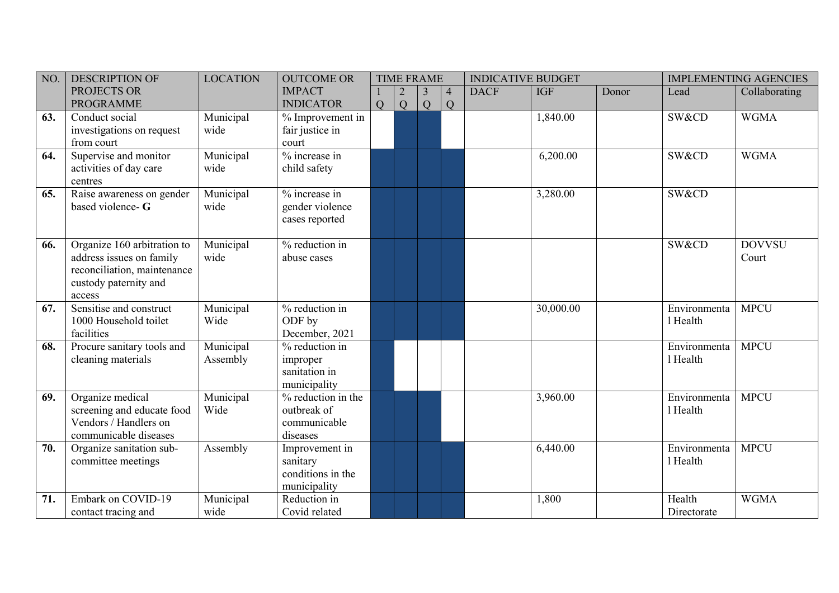| NO. | <b>DESCRIPTION OF</b>                                                                                                     | <b>LOCATION</b>       | <b>OUTCOME OR</b>                                               |   |   | <b>TIME FRAME</b> |                     | <b>INDICATIVE BUDGET</b> |            |       |                          | <b>IMPLEMENTING AGENCIES</b> |
|-----|---------------------------------------------------------------------------------------------------------------------------|-----------------------|-----------------------------------------------------------------|---|---|-------------------|---------------------|--------------------------|------------|-------|--------------------------|------------------------------|
|     | PROJECTS OR<br><b>PROGRAMME</b>                                                                                           |                       | <b>IMPACT</b><br><b>INDICATOR</b>                               | Q | Q | 3<br>Q            | $\overline{4}$<br>Q | <b>DACF</b>              | <b>IGF</b> | Donor | Lead                     | Collaborating                |
| 63. | Conduct social<br>investigations on request<br>from court                                                                 | Municipal<br>wide     | $%$ Improvement in<br>fair justice in<br>court                  |   |   |                   |                     |                          | 1,840.00   |       | SW&CD                    | <b>WGMA</b>                  |
| 64. | Supervise and monitor<br>activities of day care<br>centres                                                                | Municipal<br>wide     | % increase in<br>child safety                                   |   |   |                   |                     |                          | 6,200.00   |       | SW&CD                    | <b>WGMA</b>                  |
| 65. | Raise awareness on gender<br>based violence- G                                                                            | Municipal<br>wide     | % increase in<br>gender violence<br>cases reported              |   |   |                   |                     |                          | 3,280.00   |       | SW&CD                    |                              |
| 66. | Organize 160 arbitration to<br>address issues on family<br>reconciliation, maintenance<br>custody paternity and<br>access | Municipal<br>wide     | % reduction in<br>abuse cases                                   |   |   |                   |                     |                          |            |       | SW&CD                    | <b>DOVVSU</b><br>Court       |
| 67. | Sensitise and construct<br>1000 Household toilet<br>facilities                                                            | Municipal<br>Wide     | % reduction in<br>ODF by<br>December, 2021                      |   |   |                   |                     |                          | 30,000.00  |       | Environmenta<br>1 Health | <b>MPCU</b>                  |
| 68. | Procure sanitary tools and<br>cleaning materials                                                                          | Municipal<br>Assembly | % reduction in<br>improper<br>sanitation in<br>municipality     |   |   |                   |                     |                          |            |       | Environmenta<br>1 Health | <b>MPCU</b>                  |
| 69. | Organize medical<br>screening and educate food<br>Vendors / Handlers on<br>communicable diseases                          | Municipal<br>Wide     | % reduction in the<br>outbreak of<br>communicable<br>diseases   |   |   |                   |                     |                          | 3,960.00   |       | Environmenta<br>1 Health | <b>MPCU</b>                  |
| 70. | Organize sanitation sub-<br>committee meetings                                                                            | Assembly              | Improvement in<br>sanitary<br>conditions in the<br>municipality |   |   |                   |                     |                          | 6,440.00   |       | Environmenta<br>1 Health | <b>MPCU</b>                  |
| 71. | Embark on COVID-19<br>contact tracing and                                                                                 | Municipal<br>wide     | Reduction in<br>Covid related                                   |   |   |                   |                     |                          | 1,800      |       | Health<br>Directorate    | <b>WGMA</b>                  |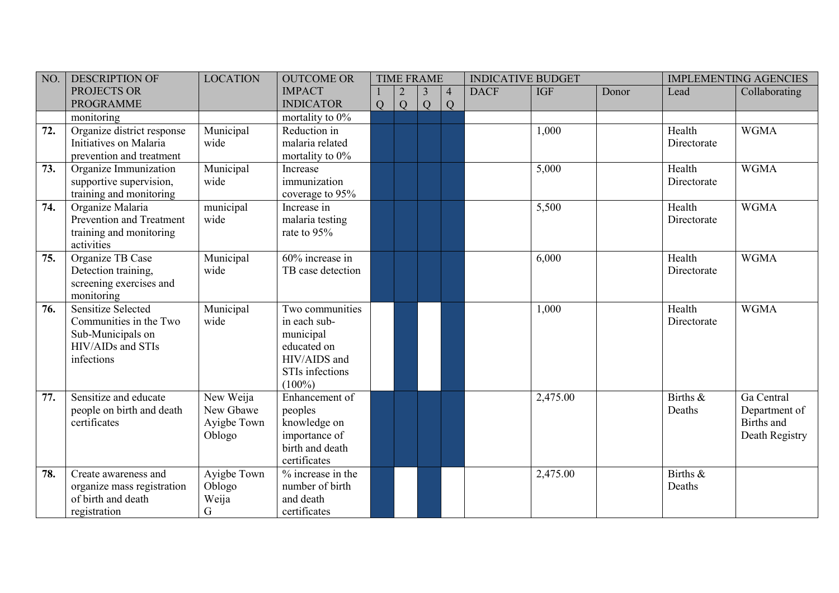| NO. | <b>DESCRIPTION OF</b>                                                                                       | <b>LOCATION</b>                                 | <b>OUTCOME OR</b>                                                                                           |   | <b>TIME FRAME</b> |                     |                | <b>INDICATIVE BUDGET</b> |            |       |                       | <b>IMPLEMENTING AGENCIES</b>                                |
|-----|-------------------------------------------------------------------------------------------------------------|-------------------------------------------------|-------------------------------------------------------------------------------------------------------------|---|-------------------|---------------------|----------------|--------------------------|------------|-------|-----------------------|-------------------------------------------------------------|
|     | PROJECTS OR<br><b>PROGRAMME</b>                                                                             |                                                 | <b>IMPACT</b><br><b>INDICATOR</b>                                                                           | Q | Q                 | $\overline{3}$<br>Q | $\vert 4$<br>Q | <b>DACF</b>              | <b>IGF</b> | Donor | Lead                  | Collaborating                                               |
|     | monitoring                                                                                                  |                                                 | mortality to $0\%$                                                                                          |   |                   |                     |                |                          |            |       |                       |                                                             |
| 72. | Organize district response<br>Initiatives on Malaria<br>prevention and treatment                            | Municipal<br>wide                               | Reduction in<br>malaria related<br>mortality to $0\%$                                                       |   |                   |                     |                |                          | 1,000      |       | Health<br>Directorate | <b>WGMA</b>                                                 |
| 73. | Organize Immunization<br>supportive supervision,<br>training and monitoring                                 | Municipal<br>wide                               | Increase<br>immunization<br>coverage to 95%                                                                 |   |                   |                     |                |                          | 5,000      |       | Health<br>Directorate | <b>WGMA</b>                                                 |
| 74. | Organize Malaria<br>Prevention and Treatment<br>training and monitoring<br>activities                       | municipal<br>wide                               | Increase in<br>malaria testing<br>rate to 95%                                                               |   |                   |                     |                |                          | 5,500      |       | Health<br>Directorate | <b>WGMA</b>                                                 |
| 75. | Organize TB Case<br>Detection training,<br>screening exercises and<br>monitoring                            | Municipal<br>wide                               | 60% increase in<br>TB case detection                                                                        |   |                   |                     |                |                          | 6,000      |       | Health<br>Directorate | <b>WGMA</b>                                                 |
| 76. | <b>Sensitize Selected</b><br>Communities in the Two<br>Sub-Municipals on<br>HIV/AIDs and STIs<br>infections | Municipal<br>wide                               | Two communities<br>in each sub-<br>municipal<br>educated on<br>HIV/AIDS and<br>STIs infections<br>$(100\%)$ |   |                   |                     |                |                          | 1,000      |       | Health<br>Directorate | <b>WGMA</b>                                                 |
| 77. | Sensitize and educate<br>people on birth and death<br>certificates                                          | New Weija<br>New Gbawe<br>Ayigbe Town<br>Oblogo | Enhancement of<br>peoples<br>knowledge on<br>importance of<br>birth and death<br>certificates               |   |                   |                     |                |                          | 2,475.00   |       | Births &<br>Deaths    | Ga Central<br>Department of<br>Births and<br>Death Registry |
| 78. | Create awareness and<br>organize mass registration<br>of birth and death<br>registration                    | Ayigbe Town<br>Oblogo<br>Weija<br>G             | $%$ increase in the<br>number of birth<br>and death<br>certificates                                         |   |                   |                     |                |                          | 2,475.00   |       | Births &<br>Deaths    |                                                             |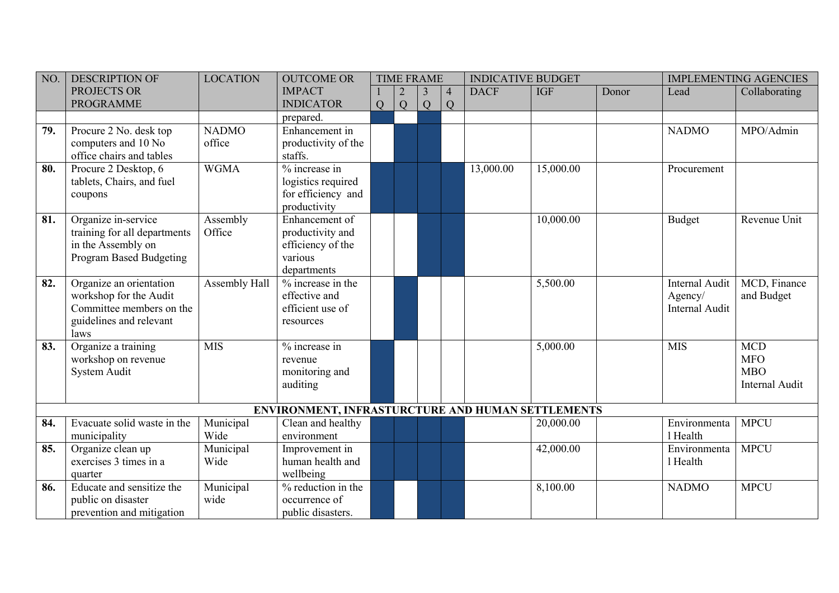| NO. | <b>DESCRIPTION OF</b>        | <b>LOCATION</b> | <b>OUTCOME OR</b>                                 |   |   | <b>TIME FRAME</b> |                | <b>INDICATIVE BUDGET</b> |            |       |                       | <b>IMPLEMENTING AGENCIES</b> |
|-----|------------------------------|-----------------|---------------------------------------------------|---|---|-------------------|----------------|--------------------------|------------|-------|-----------------------|------------------------------|
|     | PROJECTS OR                  |                 | <b>IMPACT</b>                                     |   |   | 3                 | $\overline{4}$ | <b>DACF</b>              | <b>IGF</b> | Donor | Lead                  | Collaborating                |
|     | <b>PROGRAMME</b>             |                 | <b>INDICATOR</b>                                  | Q | Q | Q                 | $\overline{Q}$ |                          |            |       |                       |                              |
|     |                              |                 | prepared.                                         |   |   |                   |                |                          |            |       |                       |                              |
| 79. | Procure 2 No. desk top       | <b>NADMO</b>    | Enhancement in                                    |   |   |                   |                |                          |            |       | <b>NADMO</b>          | MPO/Admin                    |
|     | computers and 10 No          | office          | productivity of the                               |   |   |                   |                |                          |            |       |                       |                              |
|     | office chairs and tables     |                 | staffs.                                           |   |   |                   |                |                          |            |       |                       |                              |
| 80. | Procure 2 Desktop, 6         | <b>WGMA</b>     | % increase in                                     |   |   |                   |                | 13,000.00                | 15,000.00  |       | Procurement           |                              |
|     | tablets, Chairs, and fuel    |                 | logistics required                                |   |   |                   |                |                          |            |       |                       |                              |
|     | coupons                      |                 | for efficiency and                                |   |   |                   |                |                          |            |       |                       |                              |
|     |                              |                 | productivity                                      |   |   |                   |                |                          |            |       |                       |                              |
| 81. | Organize in-service          | Assembly        | Enhancement of                                    |   |   |                   |                |                          | 10,000.00  |       | <b>Budget</b>         | Revenue Unit                 |
|     | training for all departments | Office          | productivity and                                  |   |   |                   |                |                          |            |       |                       |                              |
|     | in the Assembly on           |                 | efficiency of the                                 |   |   |                   |                |                          |            |       |                       |                              |
|     | Program Based Budgeting      |                 | various                                           |   |   |                   |                |                          |            |       |                       |                              |
|     |                              |                 | departments                                       |   |   |                   |                |                          |            |       |                       |                              |
| 82. | Organize an orientation      | Assembly Hall   | % increase in the                                 |   |   |                   |                |                          | 5,500.00   |       | <b>Internal Audit</b> | MCD, Finance                 |
|     | workshop for the Audit       |                 | effective and                                     |   |   |                   |                |                          |            |       | Agency/               | and Budget                   |
|     | Committee members on the     |                 | efficient use of                                  |   |   |                   |                |                          |            |       | <b>Internal Audit</b> |                              |
|     | guidelines and relevant      |                 | resources                                         |   |   |                   |                |                          |            |       |                       |                              |
| 83. | laws<br>Organize a training  | <b>MIS</b>      | $%$ increase in                                   |   |   |                   |                |                          | 5,000.00   |       | <b>MIS</b>            | <b>MCD</b>                   |
|     | workshop on revenue          |                 | revenue                                           |   |   |                   |                |                          |            |       |                       | <b>MFO</b>                   |
|     | System Audit                 |                 | monitoring and                                    |   |   |                   |                |                          |            |       |                       | <b>MBO</b>                   |
|     |                              |                 | auditing                                          |   |   |                   |                |                          |            |       |                       | Internal Audit               |
|     |                              |                 |                                                   |   |   |                   |                |                          |            |       |                       |                              |
|     |                              |                 | ENVIRONMENT, INFRASTURCTURE AND HUMAN SETTLEMENTS |   |   |                   |                |                          |            |       |                       |                              |
| 84. | Evacuate solid waste in the  | Municipal       | Clean and healthy                                 |   |   |                   |                |                          | 20,000.00  |       | Environmenta          | <b>MPCU</b>                  |
|     | municipality                 | Wide            | environment                                       |   |   |                   |                |                          |            |       | 1 Health              |                              |
| 85. | Organize clean up            | Municipal       | Improvement in                                    |   |   |                   |                |                          | 42,000.00  |       | Environmenta          | <b>MPCU</b>                  |
|     | exercises 3 times in a       | Wide            | human health and                                  |   |   |                   |                |                          |            |       | 1 Health              |                              |
|     | quarter                      |                 | wellbeing                                         |   |   |                   |                |                          |            |       |                       |                              |
| 86. | Educate and sensitize the    | Municipal       | % reduction in the                                |   |   |                   |                |                          | 8,100.00   |       | <b>NADMO</b>          | <b>MPCU</b>                  |
|     | public on disaster           | wide            | occurrence of                                     |   |   |                   |                |                          |            |       |                       |                              |
|     | prevention and mitigation    |                 | public disasters.                                 |   |   |                   |                |                          |            |       |                       |                              |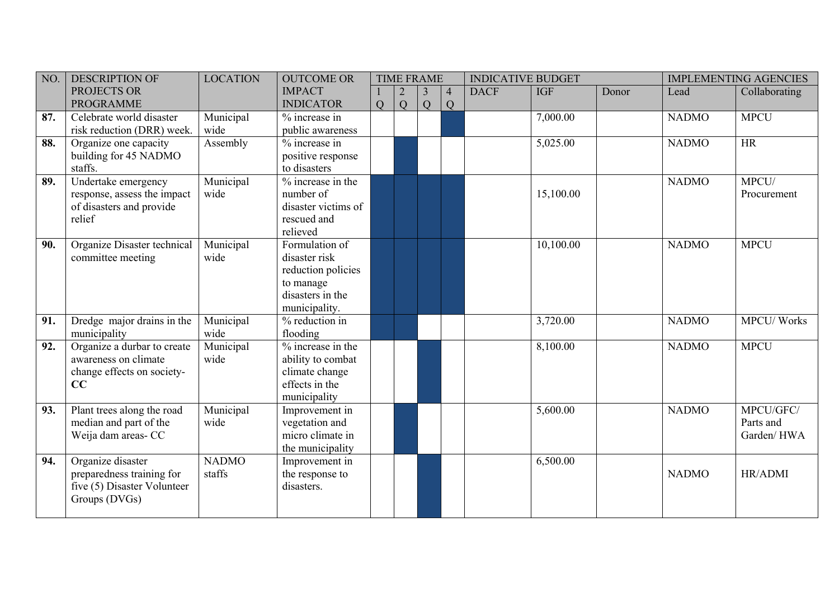| NO. | <b>DESCRIPTION OF</b>                                                                          | <b>LOCATION</b>        | <b>OUTCOME OR</b>                                                                                       |   | <b>TIME FRAME</b> |                     |                     | <b>INDICATIVE BUDGET</b> |            |       |              | <b>IMPLEMENTING AGENCIES</b>         |
|-----|------------------------------------------------------------------------------------------------|------------------------|---------------------------------------------------------------------------------------------------------|---|-------------------|---------------------|---------------------|--------------------------|------------|-------|--------------|--------------------------------------|
|     | PROJECTS OR<br><b>PROGRAMME</b>                                                                |                        | <b>IMPACT</b><br><b>INDICATOR</b>                                                                       | Q | Q                 | $\overline{3}$<br>Q | $\overline{4}$<br>Q | <b>DACF</b>              | <b>IGF</b> | Donor | Lead         | Collaborating                        |
| 87. | Celebrate world disaster<br>risk reduction (DRR) week.                                         | Municipal<br>wide      | % increase in<br>public awareness                                                                       |   |                   |                     |                     |                          | 7,000.00   |       | <b>NADMO</b> | <b>MPCU</b>                          |
| 88. | Organize one capacity<br>building for 45 NADMO<br>staffs.                                      | Assembly               | % increase in<br>positive response<br>to disasters                                                      |   |                   |                     |                     |                          | 5,025.00   |       | <b>NADMO</b> | HR                                   |
| 89. | Undertake emergency<br>response, assess the impact<br>of disasters and provide<br>relief       | Municipal<br>wide      | % increase in the<br>number of<br>disaster victims of<br>rescued and<br>relieved                        |   |                   |                     |                     |                          | 15,100.00  |       | <b>NADMO</b> | MPCU/<br>Procurement                 |
| 90. | Organize Disaster technical<br>committee meeting                                               | Municipal<br>wide      | Formulation of<br>disaster risk<br>reduction policies<br>to manage<br>disasters in the<br>municipality. |   |                   |                     |                     |                          | 10,100.00  |       | <b>NADMO</b> | <b>MPCU</b>                          |
| 91. | Dredge major drains in the<br>municipality                                                     | Municipal<br>wide      | % reduction in<br>flooding                                                                              |   |                   |                     |                     |                          | 3,720.00   |       | <b>NADMO</b> | <b>MPCU/Works</b>                    |
| 92. | Organize a durbar to create<br>awareness on climate<br>change effects on society-<br>CC        | Municipal<br>wide      | % increase in the<br>ability to combat<br>climate change<br>effects in the<br>municipality              |   |                   |                     |                     |                          | 8,100.00   |       | <b>NADMO</b> | <b>MPCU</b>                          |
| 93. | Plant trees along the road<br>median and part of the<br>Weija dam areas- CC                    | Municipal<br>wide      | Improvement in<br>vegetation and<br>micro climate in<br>the municipality                                |   |                   |                     |                     |                          | 5,600.00   |       | <b>NADMO</b> | MPCU/GFC/<br>Parts and<br>Garden/HWA |
| 94. | Organize disaster<br>preparedness training for<br>five (5) Disaster Volunteer<br>Groups (DVGs) | <b>NADMO</b><br>staffs | Improvement in<br>the response to<br>disasters.                                                         |   |                   |                     |                     |                          | 6,500.00   |       | <b>NADMO</b> | HR/ADMI                              |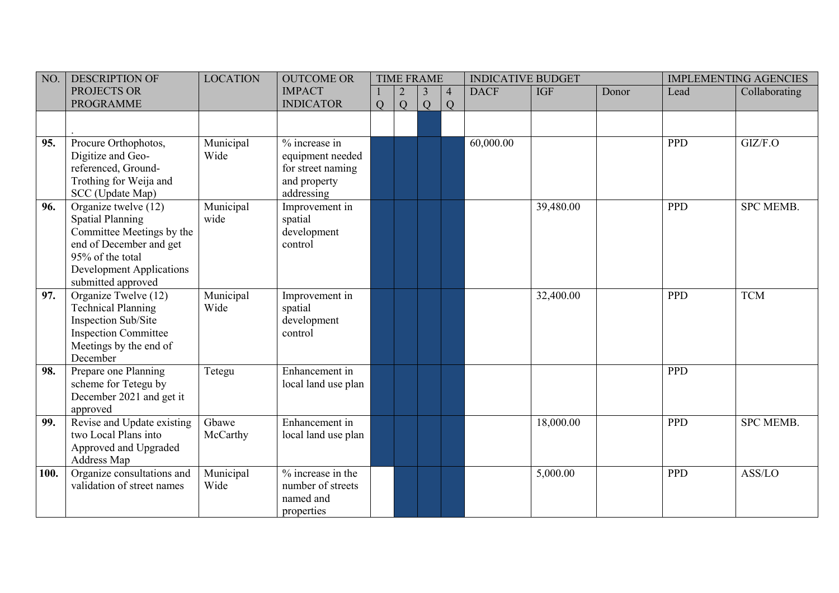| NO.  | <b>DESCRIPTION OF</b>                                                                                                                                                         | <b>LOCATION</b>   | <b>OUTCOME OR</b>                                                                    |   |   | <b>TIME FRAME</b> |                     | <b>INDICATIVE BUDGET</b> |            |       |            | <b>IMPLEMENTING AGENCIES</b> |
|------|-------------------------------------------------------------------------------------------------------------------------------------------------------------------------------|-------------------|--------------------------------------------------------------------------------------|---|---|-------------------|---------------------|--------------------------|------------|-------|------------|------------------------------|
|      | PROJECTS OR<br><b>PROGRAMME</b>                                                                                                                                               |                   | <b>IMPACT</b><br><b>INDICATOR</b>                                                    | Q | Q | 3<br>Q            | $\overline{4}$<br>Q | <b>DACF</b>              | <b>IGF</b> | Donor | Lead       | Collaborating                |
|      |                                                                                                                                                                               |                   |                                                                                      |   |   |                   |                     |                          |            |       |            |                              |
| 95.  | Procure Orthophotos,<br>Digitize and Geo-<br>referenced, Ground-<br>Trothing for Weija and<br>SCC (Update Map)                                                                | Municipal<br>Wide | % increase in<br>equipment needed<br>for street naming<br>and property<br>addressing |   |   |                   |                     | 60,000.00                |            |       | <b>PPD</b> | GIZ/F.O                      |
| 96.  | Organize twelve (12)<br><b>Spatial Planning</b><br>Committee Meetings by the<br>end of December and get<br>95% of the total<br>Development Applications<br>submitted approved | Municipal<br>wide | Improvement in<br>spatial<br>development<br>control                                  |   |   |                   |                     |                          | 39,480.00  |       | <b>PPD</b> | <b>SPC MEMB.</b>             |
| 97.  | Organize Twelve (12)<br><b>Technical Planning</b><br>Inspection Sub/Site<br><b>Inspection Committee</b><br>Meetings by the end of<br>December                                 | Municipal<br>Wide | Improvement in<br>spatial<br>development<br>control                                  |   |   |                   |                     |                          | 32,400.00  |       | <b>PPD</b> | <b>TCM</b>                   |
| 98.  | Prepare one Planning<br>scheme for Tetegu by<br>December 2021 and get it<br>approved                                                                                          | Tetegu            | Enhancement in<br>local land use plan                                                |   |   |                   |                     |                          |            |       | <b>PPD</b> |                              |
| 99.  | Revise and Update existing<br>two Local Plans into<br>Approved and Upgraded<br>Address Map                                                                                    | Gbawe<br>McCarthy | Enhancement in<br>local land use plan                                                |   |   |                   |                     |                          | 18,000.00  |       | <b>PPD</b> | <b>SPC MEMB.</b>             |
| 100. | Organize consultations and<br>validation of street names                                                                                                                      | Municipal<br>Wide | % increase in the<br>number of streets<br>named and<br>properties                    |   |   |                   |                     |                          | 5,000.00   |       | <b>PPD</b> | ASS/LO                       |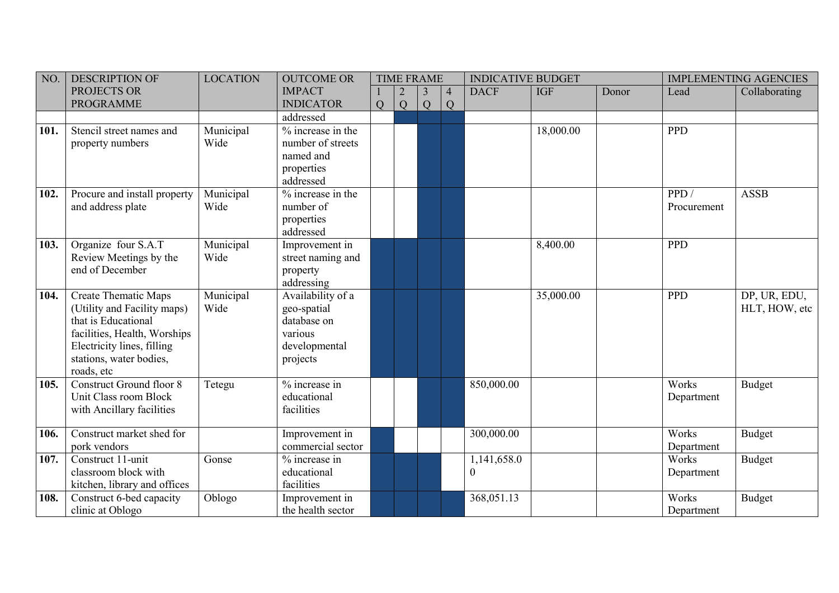| NO.  | <b>DESCRIPTION OF</b>                                                                                                                                                                    | <b>LOCATION</b>   | <b>OUTCOME OR</b>                                                                       |   |   | <b>TIME FRAME</b> |                     | <b>INDICATIVE BUDGET</b> |            |       |                     | <b>IMPLEMENTING AGENCIES</b>  |
|------|------------------------------------------------------------------------------------------------------------------------------------------------------------------------------------------|-------------------|-----------------------------------------------------------------------------------------|---|---|-------------------|---------------------|--------------------------|------------|-------|---------------------|-------------------------------|
|      | PROJECTS OR<br><b>PROGRAMME</b>                                                                                                                                                          |                   | <b>IMPACT</b><br><b>INDICATOR</b>                                                       | Q | Q | 3<br>Q            | $\overline{4}$<br>Q | <b>DACF</b>              | <b>IGF</b> | Donor | Lead                | Collaborating                 |
|      |                                                                                                                                                                                          |                   | addressed                                                                               |   |   |                   |                     |                          |            |       |                     |                               |
| 101. | Stencil street names and<br>property numbers                                                                                                                                             | Municipal<br>Wide | % increase in the<br>number of streets<br>named and<br>properties<br>addressed          |   |   |                   |                     |                          | 18,000.00  |       | <b>PPD</b>          |                               |
| 102. | Procure and install property<br>and address plate                                                                                                                                        | Municipal<br>Wide | $%$ increase in the<br>number of<br>properties<br>addressed                             |   |   |                   |                     |                          |            |       | PPD/<br>Procurement | <b>ASSB</b>                   |
| 103. | Organize four S.A.T<br>Review Meetings by the<br>end of December                                                                                                                         | Municipal<br>Wide | Improvement in<br>street naming and<br>property<br>addressing                           |   |   |                   |                     |                          | 8,400.00   |       | PPD                 |                               |
| 104. | <b>Create Thematic Maps</b><br>(Utility and Facility maps)<br>that is Educational<br>facilities, Health, Worships<br>Electricity lines, filling<br>stations, water bodies,<br>roads, etc | Municipal<br>Wide | Availability of a<br>geo-spatial<br>database on<br>various<br>developmental<br>projects |   |   |                   |                     |                          | 35,000.00  |       | <b>PPD</b>          | DP, UR, EDU,<br>HLT, HOW, etc |
| 105. | <b>Construct Ground floor 8</b><br>Unit Class room Block<br>with Ancillary facilities                                                                                                    | Tetegu            | % increase in<br>educational<br>facilities                                              |   |   |                   |                     | 850,000.00               |            |       | Works<br>Department | Budget                        |
| 106. | Construct market shed for<br>pork vendors                                                                                                                                                |                   | Improvement in<br>commercial sector                                                     |   |   |                   |                     | 300,000.00               |            |       | Works<br>Department | <b>Budget</b>                 |
| 107. | Construct 11-unit<br>classroom block with<br>kitchen, library and offices                                                                                                                | Gonse             | % increase in<br>educational<br>facilities                                              |   |   |                   |                     | 1,141,658.0<br>$\Omega$  |            |       | Works<br>Department | Budget                        |
| 108. | Construct 6-bed capacity<br>clinic at Oblogo                                                                                                                                             | Oblogo            | Improvement in<br>the health sector                                                     |   |   |                   |                     | 368,051.13               |            |       | Works<br>Department | Budget                        |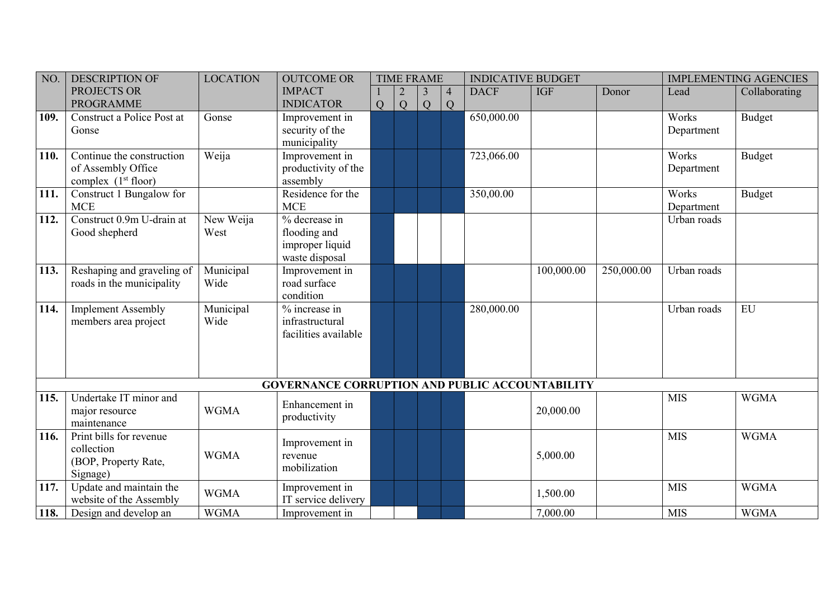| NO.          | <b>DESCRIPTION OF</b>      | <b>LOCATION</b>   | <b>OUTCOME OR</b>                                      |   | <b>TIME FRAME</b> |                |                | <b>INDICATIVE BUDGET</b> |            |            |             | <b>IMPLEMENTING AGENCIES</b> |
|--------------|----------------------------|-------------------|--------------------------------------------------------|---|-------------------|----------------|----------------|--------------------------|------------|------------|-------------|------------------------------|
|              | PROJECTS OR                |                   | <b>IMPACT</b>                                          |   |                   | $\overline{3}$ | $\overline{4}$ | <b>DACF</b>              | <b>IGF</b> | Donor      | Lead        | Collaborating                |
|              | <b>PROGRAMME</b>           |                   | <b>INDICATOR</b>                                       | Q | Q                 | Q              | Q              |                          |            |            |             |                              |
| 109.         | Construct a Police Post at | Gonse             | Improvement in                                         |   |                   |                |                | 650,000.00               |            |            | Works       | <b>Budget</b>                |
|              | Gonse                      |                   | security of the                                        |   |                   |                |                |                          |            |            | Department  |                              |
|              |                            |                   | municipality                                           |   |                   |                |                |                          |            |            |             |                              |
| 110.         | Continue the construction  | Weija             | Improvement in                                         |   |                   |                |                | 723,066.00               |            |            | Works       | Budget                       |
|              | of Assembly Office         |                   | productivity of the                                    |   |                   |                |                |                          |            |            | Department  |                              |
|              | complex $(1st floor)$      |                   | assembly                                               |   |                   |                |                |                          |            |            |             |                              |
| 111.         | Construct 1 Bungalow for   |                   | Residence for the                                      |   |                   |                |                | 350,00.00                |            |            | Works       | Budget                       |
|              | <b>MCE</b>                 |                   | <b>MCE</b>                                             |   |                   |                |                |                          |            |            | Department  |                              |
| 112.         | Construct 0.9m U-drain at  | New Weija         | % decrease in                                          |   |                   |                |                |                          |            |            | Urban roads |                              |
|              | Good shepherd              | West              | flooding and                                           |   |                   |                |                |                          |            |            |             |                              |
|              |                            |                   | improper liquid                                        |   |                   |                |                |                          |            |            |             |                              |
|              |                            |                   | waste disposal                                         |   |                   |                |                |                          |            |            |             |                              |
| $\vert$ 113. | Reshaping and graveling of | Municipal<br>Wide | Improvement in<br>road surface                         |   |                   |                |                |                          | 100,000.00 | 250,000.00 | Urban roads |                              |
|              | roads in the municipality  |                   | condition                                              |   |                   |                |                |                          |            |            |             |                              |
|              |                            |                   | % increase in                                          |   |                   |                |                |                          |            |            |             | EU                           |
| $\vert$ 114. | <b>Implement Assembly</b>  | Municipal<br>Wide | infrastructural                                        |   |                   |                |                | 280,000.00               |            |            | Urban roads |                              |
|              | members area project       |                   | facilities available                                   |   |                   |                |                |                          |            |            |             |                              |
|              |                            |                   |                                                        |   |                   |                |                |                          |            |            |             |                              |
|              |                            |                   |                                                        |   |                   |                |                |                          |            |            |             |                              |
|              |                            |                   |                                                        |   |                   |                |                |                          |            |            |             |                              |
|              |                            |                   | <b>GOVERNANCE CORRUPTION AND PUBLIC ACCOUNTABILITY</b> |   |                   |                |                |                          |            |            |             |                              |
| 115.         | Undertake IT minor and     |                   |                                                        |   |                   |                |                |                          |            |            | <b>MIS</b>  | <b>WGMA</b>                  |
|              | major resource             | <b>WGMA</b>       | Enhancement in                                         |   |                   |                |                |                          | 20,000.00  |            |             |                              |
|              | maintenance                |                   | productivity                                           |   |                   |                |                |                          |            |            |             |                              |
| 116.         | Print bills for revenue    |                   |                                                        |   |                   |                |                |                          |            |            | <b>MIS</b>  | <b>WGMA</b>                  |
|              | collection                 | <b>WGMA</b>       | Improvement in<br>revenue                              |   |                   |                |                |                          | 5,000.00   |            |             |                              |
|              | (BOP, Property Rate,       |                   | mobilization                                           |   |                   |                |                |                          |            |            |             |                              |
|              | Signage)                   |                   |                                                        |   |                   |                |                |                          |            |            |             |                              |
| $\vert$ 117. | Update and maintain the    | <b>WGMA</b>       | Improvement in                                         |   |                   |                |                |                          | 1,500.00   |            | <b>MIS</b>  | <b>WGMA</b>                  |
|              | website of the Assembly    |                   | IT service delivery                                    |   |                   |                |                |                          |            |            |             |                              |
| $\vert$ 118. | Design and develop an      | <b>WGMA</b>       | Improvement in                                         |   |                   |                |                |                          | 7,000.00   |            | <b>MIS</b>  | <b>WGMA</b>                  |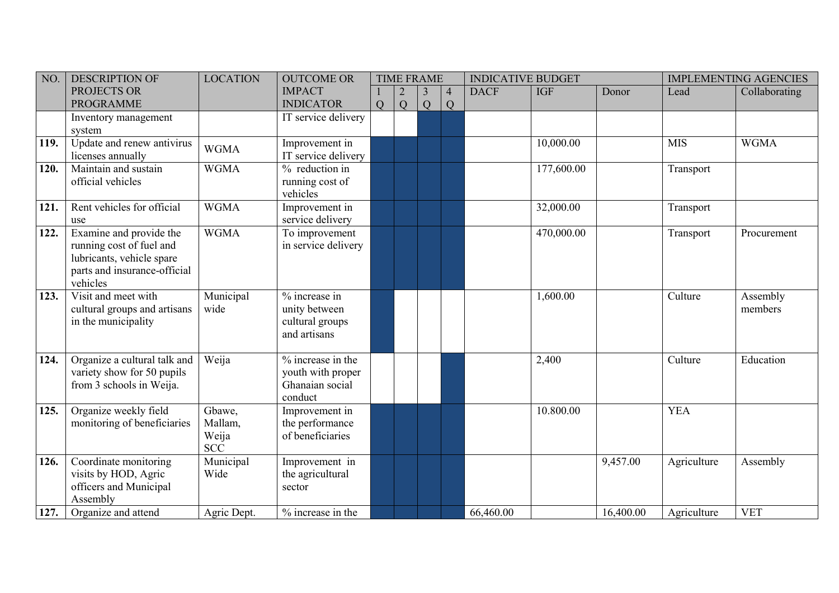| NO.  | <b>DESCRIPTION OF</b>        | <b>LOCATION</b> | <b>OUTCOME OR</b>   |   | <b>TIME FRAME</b> |   |                | <b>INDICATIVE BUDGET</b> |            |           |             | <b>IMPLEMENTING AGENCIES</b> |
|------|------------------------------|-----------------|---------------------|---|-------------------|---|----------------|--------------------------|------------|-----------|-------------|------------------------------|
|      | PROJECTS OR                  |                 | <b>IMPACT</b>       |   |                   | 3 | $\overline{4}$ | <b>DACF</b>              | <b>IGF</b> | Donor     | Lead        | Collaborating                |
|      | <b>PROGRAMME</b>             |                 | <b>INDICATOR</b>    | Q | Q                 | Q | Q              |                          |            |           |             |                              |
|      | Inventory management         |                 | IT service delivery |   |                   |   |                |                          |            |           |             |                              |
|      | system                       |                 |                     |   |                   |   |                |                          |            |           |             |                              |
| 119. | Update and renew antivirus   | <b>WGMA</b>     | Improvement in      |   |                   |   |                |                          | 10,000.00  |           | <b>MIS</b>  | <b>WGMA</b>                  |
|      | licenses annually            |                 | IT service delivery |   |                   |   |                |                          |            |           |             |                              |
| 120. | Maintain and sustain         | <b>WGMA</b>     | % reduction in      |   |                   |   |                |                          | 177,600.00 |           | Transport   |                              |
|      | official vehicles            |                 | running cost of     |   |                   |   |                |                          |            |           |             |                              |
|      |                              |                 | vehicles            |   |                   |   |                |                          |            |           |             |                              |
| 121. | Rent vehicles for official   | <b>WGMA</b>     | Improvement in      |   |                   |   |                |                          | 32,000.00  |           | Transport   |                              |
|      | use                          |                 | service delivery    |   |                   |   |                |                          |            |           |             |                              |
| 122. | Examine and provide the      | <b>WGMA</b>     | To improvement      |   |                   |   |                |                          | 470,000.00 |           | Transport   | Procurement                  |
|      | running cost of fuel and     |                 | in service delivery |   |                   |   |                |                          |            |           |             |                              |
|      | lubricants, vehicle spare    |                 |                     |   |                   |   |                |                          |            |           |             |                              |
|      | parts and insurance-official |                 |                     |   |                   |   |                |                          |            |           |             |                              |
|      | vehicles                     |                 |                     |   |                   |   |                |                          |            |           |             |                              |
| 123. | Visit and meet with          | Municipal       | % increase in       |   |                   |   |                |                          | 1,600.00   |           | Culture     | Assembly                     |
|      | cultural groups and artisans | wide            | unity between       |   |                   |   |                |                          |            |           |             | members                      |
|      | in the municipality          |                 | cultural groups     |   |                   |   |                |                          |            |           |             |                              |
|      |                              |                 | and artisans        |   |                   |   |                |                          |            |           |             |                              |
| 124. | Organize a cultural talk and | Weija           | % increase in the   |   |                   |   |                |                          | 2,400      |           | Culture     | Education                    |
|      | variety show for 50 pupils   |                 | youth with proper   |   |                   |   |                |                          |            |           |             |                              |
|      | from 3 schools in Weija.     |                 | Ghanaian social     |   |                   |   |                |                          |            |           |             |                              |
|      |                              |                 | conduct             |   |                   |   |                |                          |            |           |             |                              |
| 125. | Organize weekly field        | Gbawe,          | Improvement in      |   |                   |   |                |                          | 10.800.00  |           | <b>YEA</b>  |                              |
|      | monitoring of beneficiaries  | Mallam,         | the performance     |   |                   |   |                |                          |            |           |             |                              |
|      |                              | Weija           | of beneficiaries    |   |                   |   |                |                          |            |           |             |                              |
|      |                              | <b>SCC</b>      |                     |   |                   |   |                |                          |            |           |             |                              |
| 126. | Coordinate monitoring        | Municipal       | Improvement in      |   |                   |   |                |                          |            | 9,457.00  | Agriculture | Assembly                     |
|      | visits by HOD, Agric         | Wide            | the agricultural    |   |                   |   |                |                          |            |           |             |                              |
|      | officers and Municipal       |                 | sector              |   |                   |   |                |                          |            |           |             |                              |
|      | Assembly                     |                 |                     |   |                   |   |                |                          |            |           |             |                              |
| 127. | Organize and attend          | Agric Dept.     | % increase in the   |   |                   |   |                | 66,460.00                |            | 16,400.00 | Agriculture | <b>VET</b>                   |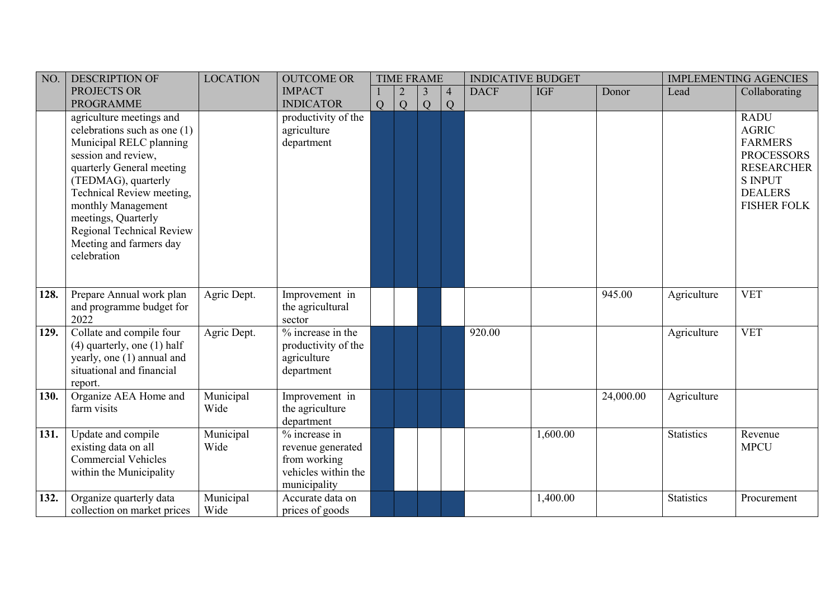| NO.  | <b>DESCRIPTION OF</b>                                                                                                                                                                                                                                                                                             | <b>LOCATION</b>   | <b>OUTCOME OR</b>                                                                         |   | <b>TIME FRAME</b> |                     |   | <b>INDICATIVE BUDGET</b> |            |           |                   | <b>IMPLEMENTING AGENCIES</b>                                                                                                                      |
|------|-------------------------------------------------------------------------------------------------------------------------------------------------------------------------------------------------------------------------------------------------------------------------------------------------------------------|-------------------|-------------------------------------------------------------------------------------------|---|-------------------|---------------------|---|--------------------------|------------|-----------|-------------------|---------------------------------------------------------------------------------------------------------------------------------------------------|
|      | PROJECTS OR                                                                                                                                                                                                                                                                                                       |                   | <b>IMPACT</b>                                                                             |   | $\overline{2}$    | $\overline{4}$<br>3 |   | <b>DACF</b>              | <b>IGF</b> | Donor     | Lead              | Collaborating                                                                                                                                     |
|      | <b>PROGRAMME</b>                                                                                                                                                                                                                                                                                                  |                   | <b>INDICATOR</b>                                                                          | Q | Q                 | Q                   | Q |                          |            |           |                   |                                                                                                                                                   |
|      | agriculture meetings and<br>celebrations such as one $(1)$<br>Municipal RELC planning<br>session and review,<br>quarterly General meeting<br>(TEDMAG), quarterly<br>Technical Review meeting,<br>monthly Management<br>meetings, Quarterly<br>Regional Technical Review<br>Meeting and farmers day<br>celebration |                   | productivity of the<br>agriculture<br>department                                          |   |                   |                     |   |                          |            |           |                   | <b>RADU</b><br><b>AGRIC</b><br><b>FARMERS</b><br><b>PROCESSORS</b><br><b>RESEARCHER</b><br><b>S INPUT</b><br><b>DEALERS</b><br><b>FISHER FOLK</b> |
| 128. | Prepare Annual work plan<br>and programme budget for<br>2022                                                                                                                                                                                                                                                      | Agric Dept.       | Improvement in<br>the agricultural<br>sector                                              |   |                   |                     |   |                          |            | 945.00    | Agriculture       | <b>VET</b>                                                                                                                                        |
| 129. | Collate and compile four<br>$(4)$ quarterly, one $(1)$ half<br>yearly, one (1) annual and<br>situational and financial<br>report.                                                                                                                                                                                 | Agric Dept.       | % increase in the<br>productivity of the<br>agriculture<br>department                     |   |                   |                     |   | 920.00                   |            |           | Agriculture       | <b>VET</b>                                                                                                                                        |
| 130. | Organize AEA Home and<br>farm visits                                                                                                                                                                                                                                                                              | Municipal<br>Wide | Improvement in<br>the agriculture<br>department                                           |   |                   |                     |   |                          |            | 24,000.00 | Agriculture       |                                                                                                                                                   |
| 131. | Update and compile<br>existing data on all<br><b>Commercial Vehicles</b><br>within the Municipality                                                                                                                                                                                                               | Municipal<br>Wide | % increase in<br>revenue generated<br>from working<br>vehicles within the<br>municipality |   |                   |                     |   |                          | 1,600.00   |           | <b>Statistics</b> | Revenue<br><b>MPCU</b>                                                                                                                            |
| 132. | Organize quarterly data<br>collection on market prices                                                                                                                                                                                                                                                            | Municipal<br>Wide | Accurate data on<br>prices of goods                                                       |   |                   |                     |   |                          | 1,400.00   |           | <b>Statistics</b> | Procurement                                                                                                                                       |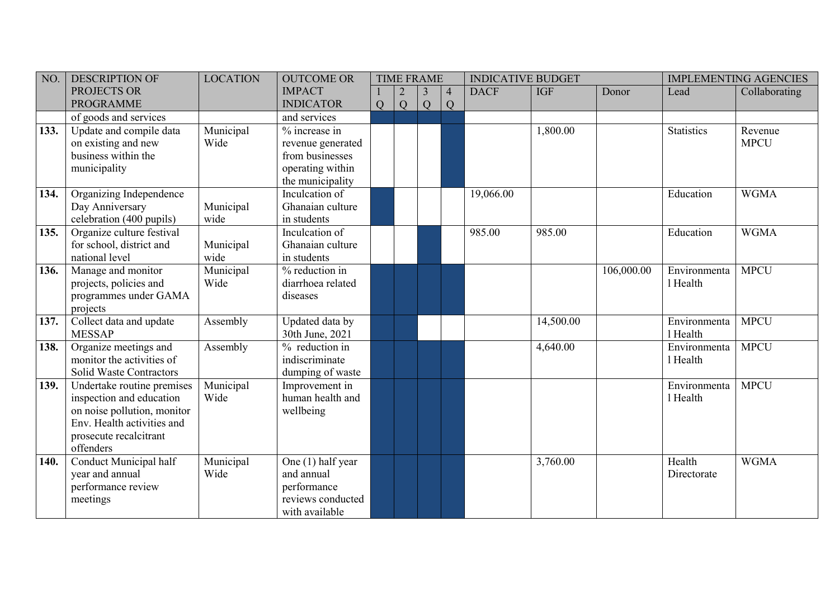| NO.  | <b>DESCRIPTION OF</b>                                     | <b>LOCATION</b> | <b>OUTCOME OR</b> |                | <b>TIME FRAME</b> |   |                | <b>INDICATIVE BUDGET</b> |            |            |                   | <b>IMPLEMENTING AGENCIES</b> |
|------|-----------------------------------------------------------|-----------------|-------------------|----------------|-------------------|---|----------------|--------------------------|------------|------------|-------------------|------------------------------|
|      | PROJECTS OR                                               |                 | <b>IMPACT</b>     |                |                   | 3 | $\overline{4}$ | <b>DACF</b>              | <b>IGF</b> | Donor      | Lead              | Collaborating                |
|      | <b>PROGRAMME</b>                                          |                 | <b>INDICATOR</b>  | $\overline{Q}$ | Q                 | Q | $\overline{Q}$ |                          |            |            |                   |                              |
|      | of goods and services                                     |                 | and services      |                |                   |   |                |                          |            |            |                   |                              |
| 133. | Update and compile data                                   | Municipal       | $%$ increase in   |                |                   |   |                |                          | 1,800.00   |            | <b>Statistics</b> | Revenue                      |
|      | on existing and new                                       | Wide            | revenue generated |                |                   |   |                |                          |            |            |                   | <b>MPCU</b>                  |
|      | business within the                                       |                 | from businesses   |                |                   |   |                |                          |            |            |                   |                              |
|      | municipality                                              |                 | operating within  |                |                   |   |                |                          |            |            |                   |                              |
|      |                                                           |                 | the municipality  |                |                   |   |                |                          |            |            |                   |                              |
| 134. | Organizing Independence                                   |                 | Inculcation of    |                |                   |   |                | 19,066.00                |            |            | Education         | <b>WGMA</b>                  |
|      | Day Anniversary                                           | Municipal       | Ghanaian culture  |                |                   |   |                |                          |            |            |                   |                              |
|      | celebration (400 pupils)                                  | wide            | in students       |                |                   |   |                |                          |            |            |                   |                              |
| 135. | Organize culture festival                                 |                 | Inculcation of    |                |                   |   |                | 985.00                   | 985.00     |            | Education         | <b>WGMA</b>                  |
|      | for school, district and                                  | Municipal       | Ghanaian culture  |                |                   |   |                |                          |            |            |                   |                              |
|      | national level                                            | wide            | in students       |                |                   |   |                |                          |            |            |                   |                              |
| 136. | Manage and monitor                                        | Municipal       | % reduction in    |                |                   |   |                |                          |            | 106,000.00 | Environmenta      | <b>MPCU</b>                  |
|      | projects, policies and                                    | Wide            | diarrhoea related |                |                   |   |                |                          |            |            | 1 Health          |                              |
|      | programmes under GAMA                                     |                 | diseases          |                |                   |   |                |                          |            |            |                   |                              |
|      | projects                                                  |                 |                   |                |                   |   |                |                          |            |            |                   |                              |
| 137. | Collect data and update                                   | Assembly        | Updated data by   |                |                   |   |                |                          | 14,500.00  |            | Environmenta      | <b>MPCU</b>                  |
|      | <b>MESSAP</b>                                             |                 | 30th June, 2021   |                |                   |   |                |                          |            |            | 1 Health          |                              |
| 138. | Organize meetings and                                     | Assembly        | % reduction in    |                |                   |   |                |                          | 4,640.00   |            | Environmenta      | <b>MPCU</b>                  |
|      | monitor the activities of                                 |                 | indiscriminate    |                |                   |   |                |                          |            |            | 1 Health          |                              |
|      | Solid Waste Contractors                                   |                 | dumping of waste  |                |                   |   |                |                          |            |            |                   |                              |
| 139. | Undertake routine premises                                | Municipal       | Improvement in    |                |                   |   |                |                          |            |            | Environmenta      | <b>MPCU</b>                  |
|      | inspection and education                                  | Wide            | human health and  |                |                   |   |                |                          |            |            | 1 Health          |                              |
|      | on noise pollution, monitor<br>Env. Health activities and |                 | wellbeing         |                |                   |   |                |                          |            |            |                   |                              |
|      | prosecute recalcitrant                                    |                 |                   |                |                   |   |                |                          |            |            |                   |                              |
|      | offenders                                                 |                 |                   |                |                   |   |                |                          |            |            |                   |                              |
| 140. | Conduct Municipal half                                    | Municipal       | One (1) half year |                |                   |   |                |                          | 3,760.00   |            | Health            | <b>WGMA</b>                  |
|      | year and annual                                           | Wide            | and annual        |                |                   |   |                |                          |            |            | Directorate       |                              |
|      | performance review                                        |                 | performance       |                |                   |   |                |                          |            |            |                   |                              |
|      | meetings                                                  |                 | reviews conducted |                |                   |   |                |                          |            |            |                   |                              |
|      |                                                           |                 | with available    |                |                   |   |                |                          |            |            |                   |                              |
|      |                                                           |                 |                   |                |                   |   |                |                          |            |            |                   |                              |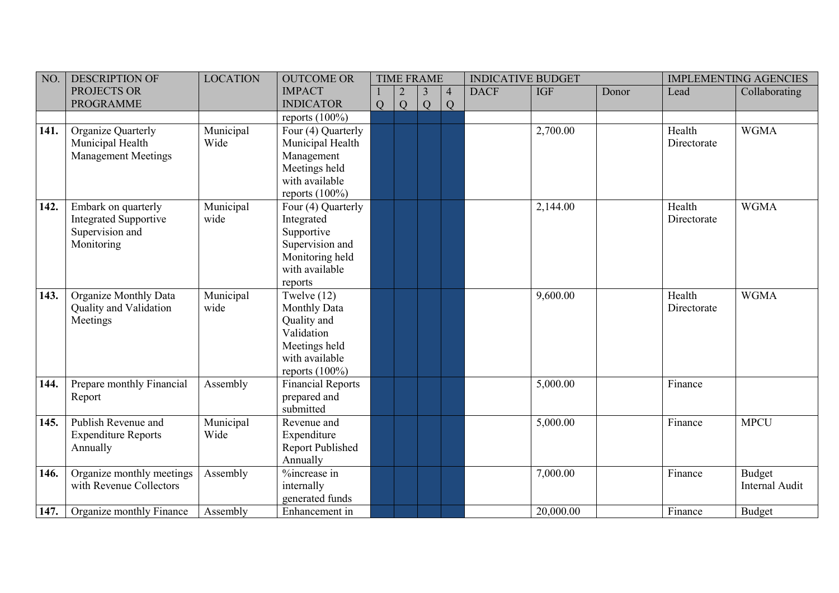| NO.          | <b>DESCRIPTION OF</b>                                                                | <b>LOCATION</b>   | <b>OUTCOME OR</b>                                                                                                         |   | <b>TIME FRAME</b> |        |               | <b>INDICATIVE BUDGET</b> |            |       |                       | <b>IMPLEMENTING AGENCIES</b> |
|--------------|--------------------------------------------------------------------------------------|-------------------|---------------------------------------------------------------------------------------------------------------------------|---|-------------------|--------|---------------|--------------------------|------------|-------|-----------------------|------------------------------|
|              | PROJECTS OR<br><b>PROGRAMME</b>                                                      |                   | <b>IMPACT</b><br><b>INDICATOR</b>                                                                                         | Q | Q                 | 3<br>Q | $\mid 4$<br>Q | <b>DACF</b>              | <b>IGF</b> | Donor | Lead                  | Collaborating                |
|              |                                                                                      |                   | reports $(100\%)$                                                                                                         |   |                   |        |               |                          |            |       |                       |                              |
| 141.         | Organize Quarterly<br>Municipal Health<br><b>Management Meetings</b>                 | Municipal<br>Wide | Four (4) Quarterly<br>Municipal Health<br>Management<br>Meetings held<br>with available<br>reports $(100\%)$              |   |                   |        |               |                          | 2,700.00   |       | Health<br>Directorate | <b>WGMA</b>                  |
| 142.         | Embark on quarterly<br><b>Integrated Supportive</b><br>Supervision and<br>Monitoring | Municipal<br>wide | Four (4) Quarterly<br>Integrated<br>Supportive<br>Supervision and<br>Monitoring held<br>with available<br>reports         |   |                   |        |               |                          | 2,144.00   |       | Health<br>Directorate | <b>WGMA</b>                  |
| $\vert$ 143. | <b>Organize Monthly Data</b><br>Quality and Validation<br>Meetings                   | Municipal<br>wide | Twelve $(12)$<br><b>Monthly Data</b><br>Quality and<br>Validation<br>Meetings held<br>with available<br>reports $(100\%)$ |   |                   |        |               |                          | 9,600.00   |       | Health<br>Directorate | <b>WGMA</b>                  |
| 144.         | Prepare monthly Financial<br>Report                                                  | Assembly          | <b>Financial Reports</b><br>prepared and<br>submitted                                                                     |   |                   |        |               |                          | 5,000.00   |       | Finance               |                              |
| $\vert$ 145. | Publish Revenue and<br><b>Expenditure Reports</b><br>Annually                        | Municipal<br>Wide | Revenue and<br>Expenditure<br>Report Published<br>Annually                                                                |   |                   |        |               |                          | 5,000.00   |       | Finance               | <b>MPCU</b>                  |
| 146.         | Organize monthly meetings<br>with Revenue Collectors                                 | Assembly          | %increase in<br>internally<br>generated funds                                                                             |   |                   |        |               |                          | 7,000.00   |       | Finance               | Budget<br>Internal Audit     |
| 147.         | Organize monthly Finance                                                             | Assembly          | Enhancement in                                                                                                            |   |                   |        |               |                          | 20,000.00  |       | Finance               | <b>Budget</b>                |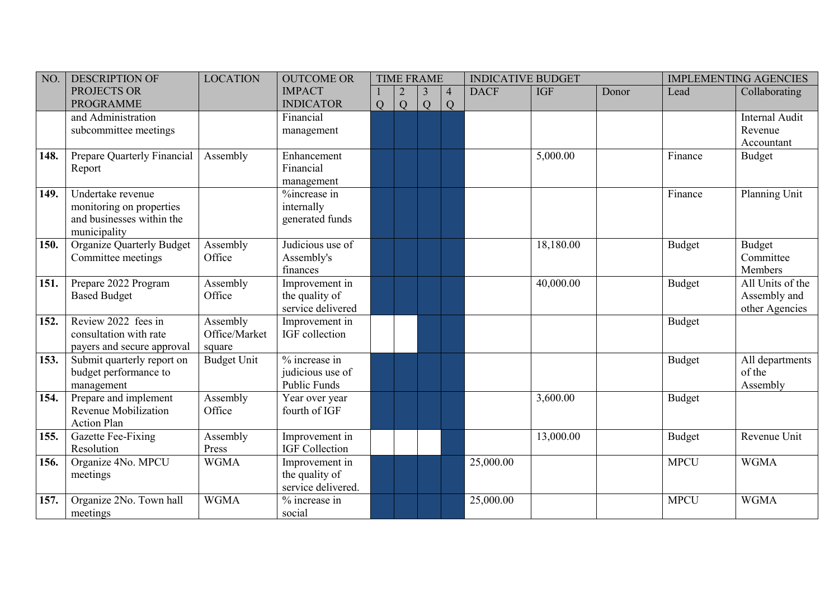| NO.          | <b>DESCRIPTION OF</b>            | <b>LOCATION</b>    | <b>OUTCOME OR</b>     |   | <b>TIME FRAME</b> |   |          | <b>INDICATIVE BUDGET</b> |            |       |               | <b>IMPLEMENTING AGENCIES</b> |
|--------------|----------------------------------|--------------------|-----------------------|---|-------------------|---|----------|--------------------------|------------|-------|---------------|------------------------------|
|              | PROJECTS OR                      |                    | <b>IMPACT</b>         |   |                   | 3 | $\mid 4$ | <b>DACF</b>              | <b>IGF</b> | Donor | Lead          | Collaborating                |
|              | <b>PROGRAMME</b>                 |                    | <b>INDICATOR</b>      | Q | Q                 | Q | Q        |                          |            |       |               |                              |
|              | and Administration               |                    | Financial             |   |                   |   |          |                          |            |       |               | Internal Audit               |
|              | subcommittee meetings            |                    | management            |   |                   |   |          |                          |            |       |               | Revenue                      |
|              |                                  |                    |                       |   |                   |   |          |                          |            |       |               | Accountant                   |
| $\vert$ 148. | Prepare Quarterly Financial      | Assembly           | Enhancement           |   |                   |   |          |                          | 5,000.00   |       | Finance       | <b>Budget</b>                |
|              | Report                           |                    | Financial             |   |                   |   |          |                          |            |       |               |                              |
|              |                                  |                    | management            |   |                   |   |          |                          |            |       |               |                              |
| 149.         | Undertake revenue                |                    | %increase in          |   |                   |   |          |                          |            |       | Finance       | Planning Unit                |
|              | monitoring on properties         |                    | internally            |   |                   |   |          |                          |            |       |               |                              |
|              | and businesses within the        |                    | generated funds       |   |                   |   |          |                          |            |       |               |                              |
|              | municipality                     |                    |                       |   |                   |   |          |                          |            |       |               |                              |
| 150.         | <b>Organize Quarterly Budget</b> | Assembly           | Judicious use of      |   |                   |   |          |                          | 18,180.00  |       | <b>Budget</b> | Budget                       |
|              | Committee meetings               | Office             | Assembly's            |   |                   |   |          |                          |            |       |               | Committee                    |
|              |                                  |                    | finances              |   |                   |   |          |                          |            |       |               | Members                      |
| 151.         | Prepare 2022 Program             | Assembly           | Improvement in        |   |                   |   |          |                          | 40,000.00  |       | <b>Budget</b> | All Units of the             |
|              | <b>Based Budget</b>              | Office             | the quality of        |   |                   |   |          |                          |            |       |               | Assembly and                 |
|              |                                  |                    | service delivered     |   |                   |   |          |                          |            |       |               | other Agencies               |
| 152.         | Review 2022 fees in              | Assembly           | Improvement in        |   |                   |   |          |                          |            |       | <b>Budget</b> |                              |
|              | consultation with rate           | Office/Market      | IGF collection        |   |                   |   |          |                          |            |       |               |                              |
|              | payers and secure approval       | square             |                       |   |                   |   |          |                          |            |       |               |                              |
| 153.         | Submit quarterly report on       | <b>Budget Unit</b> | $%$ increase in       |   |                   |   |          |                          |            |       | <b>Budget</b> | All departments              |
|              | budget performance to            |                    | judicious use of      |   |                   |   |          |                          |            |       |               | of the                       |
|              | management                       |                    | Public Funds          |   |                   |   |          |                          |            |       |               | Assembly                     |
| 154.         | Prepare and implement            | Assembly           | Year over year        |   |                   |   |          |                          | 3,600.00   |       | <b>Budget</b> |                              |
|              | Revenue Mobilization             | Office             | fourth of IGF         |   |                   |   |          |                          |            |       |               |                              |
|              | <b>Action Plan</b>               |                    |                       |   |                   |   |          |                          |            |       |               |                              |
| 155.         | Gazette Fee-Fixing               | Assembly           | Improvement in        |   |                   |   |          |                          | 13,000.00  |       | <b>Budget</b> | Revenue Unit                 |
|              | Resolution                       | Press              | <b>IGF</b> Collection |   |                   |   |          |                          |            |       |               |                              |
| 156.         | Organize 4No. MPCU               | <b>WGMA</b>        | Improvement in        |   |                   |   |          | 25,000.00                |            |       | <b>MPCU</b>   | <b>WGMA</b>                  |
|              | meetings                         |                    | the quality of        |   |                   |   |          |                          |            |       |               |                              |
|              |                                  |                    | service delivered.    |   |                   |   |          |                          |            |       |               |                              |
| 157.         | Organize 2No. Town hall          | <b>WGMA</b>        | % increase in         |   |                   |   |          | 25,000.00                |            |       | <b>MPCU</b>   | <b>WGMA</b>                  |
|              | meetings                         |                    | social                |   |                   |   |          |                          |            |       |               |                              |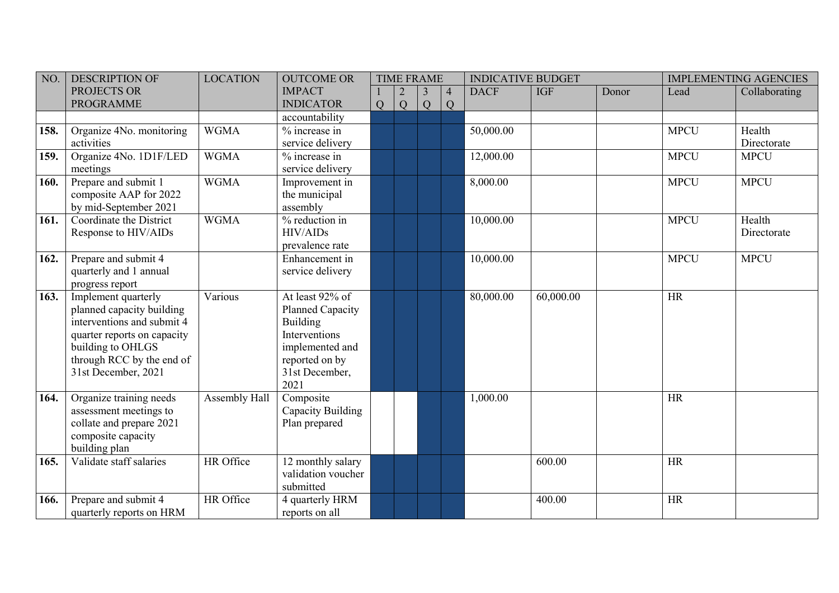| NO.  | <b>DESCRIPTION OF</b>                                                                                                                                                                  | <b>LOCATION</b> | <b>OUTCOME OR</b>                                                                                                                      |   |   | <b>TIME FRAME</b>   |                                  | <b>INDICATIVE BUDGET</b> |            |       |             | <b>IMPLEMENTING AGENCIES</b> |
|------|----------------------------------------------------------------------------------------------------------------------------------------------------------------------------------------|-----------------|----------------------------------------------------------------------------------------------------------------------------------------|---|---|---------------------|----------------------------------|--------------------------|------------|-------|-------------|------------------------------|
|      | PROJECTS OR<br><b>PROGRAMME</b>                                                                                                                                                        |                 | <b>IMPACT</b><br><b>INDICATOR</b>                                                                                                      | Q | Q | $\overline{3}$<br>Q | $\overline{4}$<br>$\overline{Q}$ | <b>DACF</b>              | <b>IGF</b> | Donor | Lead        | Collaborating                |
|      |                                                                                                                                                                                        |                 | accountability                                                                                                                         |   |   |                     |                                  |                          |            |       |             |                              |
| 158. | Organize 4No. monitoring<br>activities                                                                                                                                                 | <b>WGMA</b>     | % increase in<br>service delivery                                                                                                      |   |   |                     |                                  | 50,000.00                |            |       | <b>MPCU</b> | Health<br>Directorate        |
| 159. | Organize 4No. 1D1F/LED<br>meetings                                                                                                                                                     | <b>WGMA</b>     | % increase in<br>service delivery                                                                                                      |   |   |                     |                                  | 12,000.00                |            |       | <b>MPCU</b> | <b>MPCU</b>                  |
| 160. | Prepare and submit 1<br>composite AAP for 2022<br>by mid-September 2021                                                                                                                | <b>WGMA</b>     | Improvement in<br>the municipal<br>assembly                                                                                            |   |   |                     |                                  | 8,000.00                 |            |       | <b>MPCU</b> | <b>MPCU</b>                  |
| 161. | Coordinate the District<br>Response to HIV/AIDs                                                                                                                                        | <b>WGMA</b>     | % reduction in<br><b>HIV/AIDs</b><br>prevalence rate                                                                                   |   |   |                     |                                  | 10,000.00                |            |       | <b>MPCU</b> | Health<br>Directorate        |
| 162. | Prepare and submit 4<br>quarterly and 1 annual<br>progress report                                                                                                                      |                 | Enhancement in<br>service delivery                                                                                                     |   |   |                     |                                  | 10,000.00                |            |       | <b>MPCU</b> | <b>MPCU</b>                  |
| 163. | Implement quarterly<br>planned capacity building<br>interventions and submit 4<br>quarter reports on capacity<br>building to OHLGS<br>through RCC by the end of<br>31st December, 2021 | Various         | At least 92% of<br>Planned Capacity<br><b>Building</b><br>Interventions<br>implemented and<br>reported on by<br>31st December,<br>2021 |   |   |                     |                                  | 80,000.00                | 60,000.00  |       | <b>HR</b>   |                              |
| 164. | Organize training needs<br>assessment meetings to<br>collate and prepare 2021<br>composite capacity<br>building plan                                                                   | Assembly Hall   | Composite<br>Capacity Building<br>Plan prepared                                                                                        |   |   |                     |                                  | 1,000.00                 |            |       | <b>HR</b>   |                              |
| 165. | Validate staff salaries                                                                                                                                                                | HR Office       | 12 monthly salary<br>validation voucher<br>submitted                                                                                   |   |   |                     |                                  |                          | 600.00     |       | <b>HR</b>   |                              |
| 166. | Prepare and submit 4<br>quarterly reports on HRM                                                                                                                                       | HR Office       | 4 quarterly HRM<br>reports on all                                                                                                      |   |   |                     |                                  |                          | 400.00     |       | <b>HR</b>   |                              |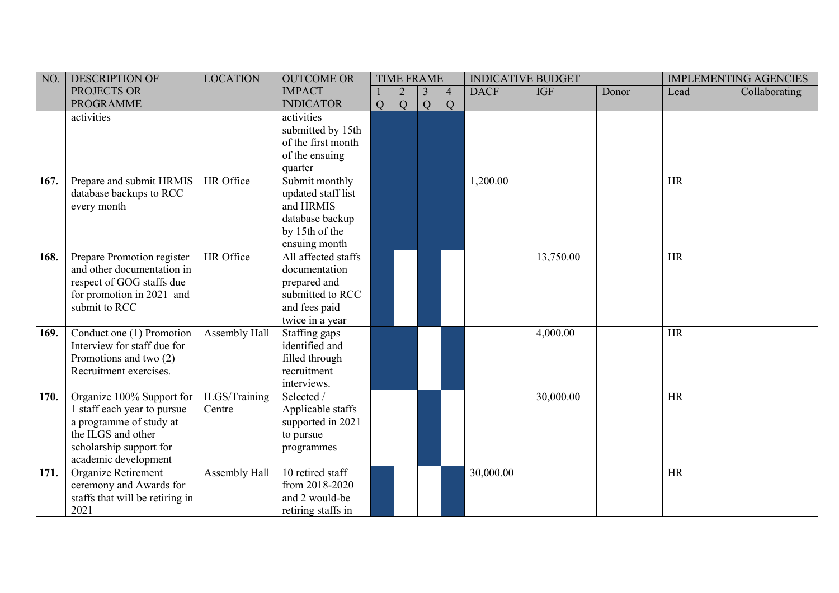| NO.  | <b>DESCRIPTION OF</b>           | <b>LOCATION</b> | <b>OUTCOME OR</b>   |   | <b>TIME FRAME</b> |                |                | <b>INDICATIVE BUDGET</b> |            |       |           | <b>IMPLEMENTING AGENCIES</b> |
|------|---------------------------------|-----------------|---------------------|---|-------------------|----------------|----------------|--------------------------|------------|-------|-----------|------------------------------|
|      | PROJECTS OR                     |                 | <b>IMPACT</b>       |   |                   | $\overline{3}$ | $\overline{4}$ | <b>DACF</b>              | <b>IGF</b> | Donor | Lead      | Collaborating                |
|      | <b>PROGRAMME</b>                |                 | <b>INDICATOR</b>    | Q | Q                 | Q              | Q              |                          |            |       |           |                              |
|      | activities                      |                 | activities          |   |                   |                |                |                          |            |       |           |                              |
|      |                                 |                 | submitted by 15th   |   |                   |                |                |                          |            |       |           |                              |
|      |                                 |                 | of the first month  |   |                   |                |                |                          |            |       |           |                              |
|      |                                 |                 | of the ensuing      |   |                   |                |                |                          |            |       |           |                              |
|      |                                 |                 | quarter             |   |                   |                |                |                          |            |       |           |                              |
| 167. | Prepare and submit HRMIS        | HR Office       | Submit monthly      |   |                   |                |                | 1,200.00                 |            |       | <b>HR</b> |                              |
|      | database backups to RCC         |                 | updated staff list  |   |                   |                |                |                          |            |       |           |                              |
|      | every month                     |                 | and HRMIS           |   |                   |                |                |                          |            |       |           |                              |
|      |                                 |                 | database backup     |   |                   |                |                |                          |            |       |           |                              |
|      |                                 |                 | by 15th of the      |   |                   |                |                |                          |            |       |           |                              |
|      |                                 |                 | ensuing month       |   |                   |                |                |                          |            |       |           |                              |
| 168. | Prepare Promotion register      | HR Office       | All affected staffs |   |                   |                |                |                          | 13,750.00  |       | <b>HR</b> |                              |
|      | and other documentation in      |                 | documentation       |   |                   |                |                |                          |            |       |           |                              |
|      | respect of GOG staffs due       |                 | prepared and        |   |                   |                |                |                          |            |       |           |                              |
|      | for promotion in 2021 and       |                 | submitted to RCC    |   |                   |                |                |                          |            |       |           |                              |
|      | submit to RCC                   |                 | and fees paid       |   |                   |                |                |                          |            |       |           |                              |
|      |                                 |                 | twice in a year     |   |                   |                |                |                          |            |       |           |                              |
| 169. | Conduct one (1) Promotion       | Assembly Hall   | Staffing gaps       |   |                   |                |                |                          | 4,000.00   |       | HR        |                              |
|      | Interview for staff due for     |                 | identified and      |   |                   |                |                |                          |            |       |           |                              |
|      | Promotions and two (2)          |                 | filled through      |   |                   |                |                |                          |            |       |           |                              |
|      | Recruitment exercises.          |                 | recruitment         |   |                   |                |                |                          |            |       |           |                              |
|      |                                 |                 | interviews.         |   |                   |                |                |                          |            |       |           |                              |
| 170. | Organize 100% Support for       | ILGS/Training   | Selected /          |   |                   |                |                |                          | 30,000.00  |       | HR        |                              |
|      | 1 staff each year to pursue     | Centre          | Applicable staffs   |   |                   |                |                |                          |            |       |           |                              |
|      | a programme of study at         |                 | supported in 2021   |   |                   |                |                |                          |            |       |           |                              |
|      | the ILGS and other              |                 | to pursue           |   |                   |                |                |                          |            |       |           |                              |
|      | scholarship support for         |                 | programmes          |   |                   |                |                |                          |            |       |           |                              |
|      | academic development            |                 |                     |   |                   |                |                |                          |            |       |           |                              |
| 171. | Organize Retirement             | Assembly Hall   | 10 retired staff    |   |                   |                |                | 30,000.00                |            |       | <b>HR</b> |                              |
|      | ceremony and Awards for         |                 | from 2018-2020      |   |                   |                |                |                          |            |       |           |                              |
|      | staffs that will be retiring in |                 | and 2 would-be      |   |                   |                |                |                          |            |       |           |                              |
|      | 2021                            |                 | retiring staffs in  |   |                   |                |                |                          |            |       |           |                              |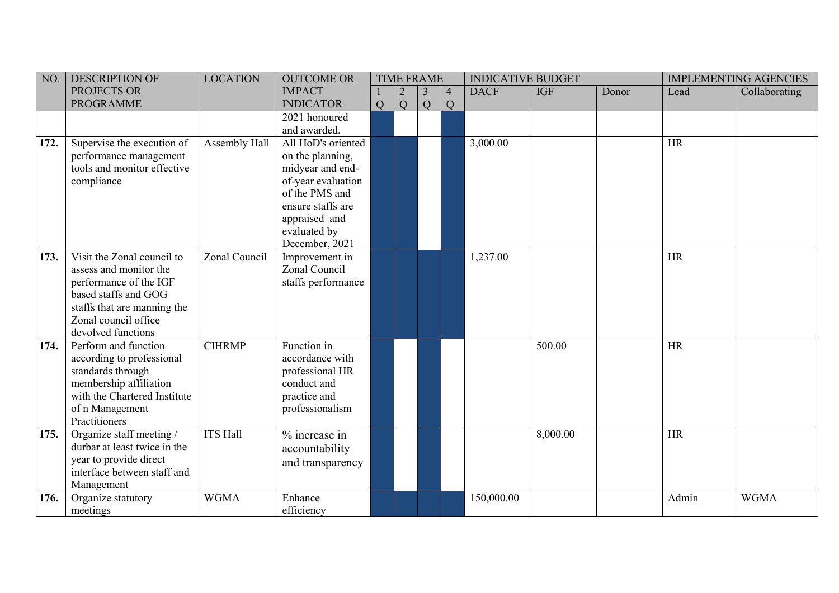| NO.          | <b>DESCRIPTION OF</b>        | <b>LOCATION</b> | <b>OUTCOME OR</b>  |   | <b>TIME FRAME</b> |   |                | <b>INDICATIVE BUDGET</b> |            | <b>IMPLEMENTING AGENCIES</b> |           |               |
|--------------|------------------------------|-----------------|--------------------|---|-------------------|---|----------------|--------------------------|------------|------------------------------|-----------|---------------|
|              | PROJECTS OR                  |                 | <b>IMPACT</b>      |   |                   | 3 | $\overline{4}$ | <b>DACF</b>              | <b>IGF</b> | Donor                        | Lead      | Collaborating |
|              | <b>PROGRAMME</b>             |                 | <b>INDICATOR</b>   | Q | Q                 | Q | Q              |                          |            |                              |           |               |
|              |                              |                 | 2021 honoured      |   |                   |   |                |                          |            |                              |           |               |
|              |                              |                 | and awarded.       |   |                   |   |                |                          |            |                              |           |               |
| 172.         | Supervise the execution of   | Assembly Hall   | All HoD's oriented |   |                   |   |                | 3,000.00                 |            |                              | <b>HR</b> |               |
|              | performance management       |                 | on the planning,   |   |                   |   |                |                          |            |                              |           |               |
|              | tools and monitor effective  |                 | midyear and end-   |   |                   |   |                |                          |            |                              |           |               |
|              | compliance                   |                 | of-year evaluation |   |                   |   |                |                          |            |                              |           |               |
|              |                              |                 | of the PMS and     |   |                   |   |                |                          |            |                              |           |               |
|              |                              |                 | ensure staffs are  |   |                   |   |                |                          |            |                              |           |               |
|              |                              |                 | appraised and      |   |                   |   |                |                          |            |                              |           |               |
|              |                              |                 | evaluated by       |   |                   |   |                |                          |            |                              |           |               |
|              |                              |                 | December, 2021     |   |                   |   |                |                          |            |                              |           |               |
| 173.         | Visit the Zonal council to   | Zonal Council   | Improvement in     |   |                   |   |                | 1,237.00                 |            |                              | <b>HR</b> |               |
|              | assess and monitor the       |                 | Zonal Council      |   |                   |   |                |                          |            |                              |           |               |
|              | performance of the IGF       |                 | staffs performance |   |                   |   |                |                          |            |                              |           |               |
|              | based staffs and GOG         |                 |                    |   |                   |   |                |                          |            |                              |           |               |
|              | staffs that are manning the  |                 |                    |   |                   |   |                |                          |            |                              |           |               |
|              | Zonal council office         |                 |                    |   |                   |   |                |                          |            |                              |           |               |
|              | devolved functions           |                 |                    |   |                   |   |                |                          |            |                              |           |               |
| $\vert$ 174. | Perform and function         | <b>CIHRMP</b>   | Function in        |   |                   |   |                |                          | 500.00     |                              | <b>HR</b> |               |
|              | according to professional    |                 | accordance with    |   |                   |   |                |                          |            |                              |           |               |
|              | standards through            |                 | professional HR    |   |                   |   |                |                          |            |                              |           |               |
|              | membership affiliation       |                 | conduct and        |   |                   |   |                |                          |            |                              |           |               |
|              | with the Chartered Institute |                 | practice and       |   |                   |   |                |                          |            |                              |           |               |
|              | of n Management              |                 | professionalism    |   |                   |   |                |                          |            |                              |           |               |
|              | Practitioners                |                 |                    |   |                   |   |                |                          |            |                              |           |               |
| $\vert$ 175. | Organize staff meeting /     | <b>ITS Hall</b> | % increase in      |   |                   |   |                |                          | 8,000.00   |                              | <b>HR</b> |               |
|              | durbar at least twice in the |                 | accountability     |   |                   |   |                |                          |            |                              |           |               |
|              | year to provide direct       |                 | and transparency   |   |                   |   |                |                          |            |                              |           |               |
|              | interface between staff and  |                 |                    |   |                   |   |                |                          |            |                              |           |               |
|              | Management                   |                 |                    |   |                   |   |                |                          |            |                              |           |               |
| 176.         | Organize statutory           | <b>WGMA</b>     | Enhance            |   |                   |   |                | 150,000.00               |            |                              | Admin     | <b>WGMA</b>   |
|              | meetings                     |                 | efficiency         |   |                   |   |                |                          |            |                              |           |               |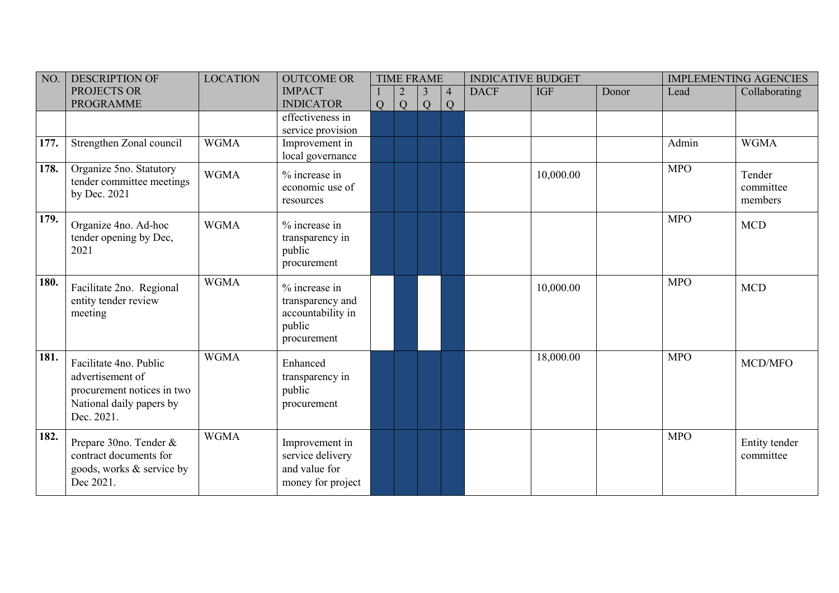| NO.  | <b>DESCRIPTION OF</b>                                                                                              | <b>LOCATION</b> | <b>OUTCOME OR</b>                                                               | <b>TIME FRAME</b> |                     |        |                     | <b>INDICATIVE BUDGET</b> |            |       | <b>IMPLEMENTING AGENCIES</b> |                                |
|------|--------------------------------------------------------------------------------------------------------------------|-----------------|---------------------------------------------------------------------------------|-------------------|---------------------|--------|---------------------|--------------------------|------------|-------|------------------------------|--------------------------------|
|      | PROJECTS OR<br><b>PROGRAMME</b>                                                                                    |                 | <b>IMPACT</b><br><b>INDICATOR</b>                                               | Q                 | $\overline{2}$<br>Q | 3<br>Q | $\overline{4}$<br>Q | <b>DACF</b>              | <b>IGF</b> | Donor | Lead                         | Collaborating                  |
|      |                                                                                                                    |                 | effectiveness in<br>service provision                                           |                   |                     |        |                     |                          |            |       |                              |                                |
| 177. | Strengthen Zonal council                                                                                           | <b>WGMA</b>     | Improvement in<br>local governance                                              |                   |                     |        |                     |                          |            |       | Admin                        | <b>WGMA</b>                    |
| 178. | Organize 5no. Statutory<br>tender committee meetings<br>by Dec. 2021                                               | <b>WGMA</b>     | % increase in<br>economic use of<br>resources                                   |                   |                     |        |                     |                          | 10,000.00  |       | <b>MPO</b>                   | Tender<br>committee<br>members |
| 179. | Organize 4no. Ad-hoc<br>tender opening by Dec,<br>2021                                                             | <b>WGMA</b>     | % increase in<br>transparency in<br>public<br>procurement                       |                   |                     |        |                     |                          |            |       | <b>MPO</b>                   | <b>MCD</b>                     |
| 180. | Facilitate 2no. Regional<br>entity tender review<br>meeting                                                        | <b>WGMA</b>     | % increase in<br>transparency and<br>accountability in<br>public<br>procurement |                   |                     |        |                     |                          | 10,000.00  |       | <b>MPO</b>                   | <b>MCD</b>                     |
| 181. | Facilitate 4no. Public<br>advertisement of<br>procurement notices in two<br>National daily papers by<br>Dec. 2021. | <b>WGMA</b>     | Enhanced<br>transparency in<br>public<br>procurement                            |                   |                     |        |                     |                          | 18,000.00  |       | <b>MPO</b>                   | MCD/MFO                        |
| 182. | Prepare 30no. Tender &<br>contract documents for<br>goods, works & service by<br>Dec 2021.                         | <b>WGMA</b>     | Improvement in<br>service delivery<br>and value for<br>money for project        |                   |                     |        |                     |                          |            |       | <b>MPO</b>                   | Entity tender<br>committee     |